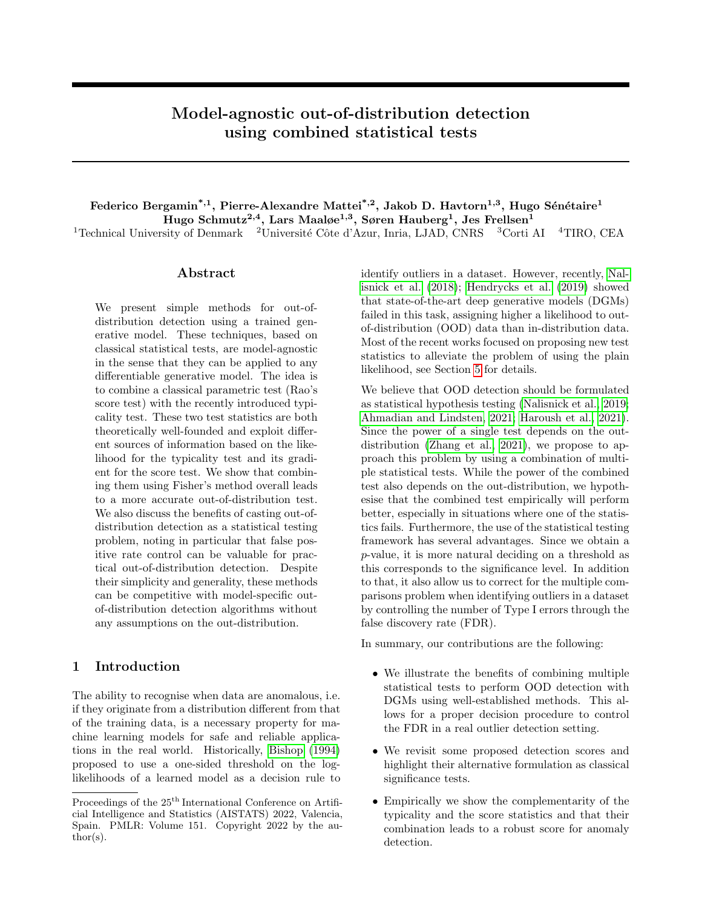# <span id="page-0-0"></span>Model-agnostic out-of-distribution detection using combined statistical tests

# Federico Bergamin<sup>\*,1</sup>, Pierre-Alexandre Mattei<sup>\*,2</sup>, Jakob D. Havtorn<sup>1,3</sup>, Hugo Sénétaire<sup>1</sup> Hugo Schmutz $^{2,4}$ , Lars Maaløe $^{1,3}$ , Søren Hauberg $^1$ , Jes Frellsen $^1$ <sup>1</sup>Technical University of Denmark <sup>2</sup>Université Côte d'Azur, Inria, LJAD, CNRS <sup>3</sup>Corti AI <sup>4</sup>TIRO, CEA

## Abstract

We present simple methods for out-ofdistribution detection using a trained generative model. These techniques, based on classical statistical tests, are model-agnostic in the sense that they can be applied to any differentiable generative model. The idea is to combine a classical parametric test (Rao's score test) with the recently introduced typicality test. These two test statistics are both theoretically well-founded and exploit different sources of information based on the likelihood for the typicality test and its gradient for the score test. We show that combining them using Fisher's method overall leads to a more accurate out-of-distribution test. We also discuss the benefits of casting out-ofdistribution detection as a statistical testing problem, noting in particular that false positive rate control can be valuable for practical out-of-distribution detection. Despite their simplicity and generality, these methods can be competitive with model-specific outof-distribution detection algorithms without any assumptions on the out-distribution.

## 1 Introduction

The ability to recognise when data are anomalous, i.e. if they originate from a distribution different from that of the training data, is a necessary property for machine learning models for safe and reliable applications in the real world. Historically, [Bishop](#page-9-0) [\(1994\)](#page-9-0) proposed to use a one-sided threshold on the loglikelihoods of a learned model as a decision rule to identify outliers in a dataset. However, recently, [Nal](#page-10-0)[isnick et al.](#page-10-0) [\(2018\)](#page-10-0); [Hendrycks et al.](#page-9-1) [\(2019\)](#page-9-1) showed that state-of-the-art deep generative models (DGMs) failed in this task, assigning higher a likelihood to outof-distribution (OOD) data than in-distribution data. Most of the recent works focused on proposing new test statistics to alleviate the problem of using the plain likelihood, see Section [5](#page-5-0) for details.

We believe that OOD detection should be formulated as statistical hypothesis testing [\(Nalisnick et al., 2019;](#page-10-1) [Ahmadian and Lindsten, 2021;](#page-9-2) [Haroush et al., 2021\)](#page-9-3). Since the power of a single test depends on the outdistribution [\(Zhang et al., 2021\)](#page-11-0), we propose to approach this problem by using a combination of multiple statistical tests. While the power of the combined test also depends on the out-distribution, we hypothesise that the combined test empirically will perform better, especially in situations where one of the statistics fails. Furthermore, the use of the statistical testing framework has several advantages. Since we obtain a p-value, it is more natural deciding on a threshold as this corresponds to the significance level. In addition to that, it also allow us to correct for the multiple comparisons problem when identifying outliers in a dataset by controlling the number of Type I errors through the false discovery rate (FDR).

In summary, our contributions are the following:

- We illustrate the benefits of combining multiple statistical tests to perform OOD detection with DGMs using well-established methods. This allows for a proper decision procedure to control the FDR in a real outlier detection setting.
- We revisit some proposed detection scores and highlight their alternative formulation as classical significance tests.
- Empirically we show the complementarity of the typicality and the score statistics and that their combination leads to a robust score for anomaly detection.

Proceedings of the  $25<sup>th</sup>$  International Conference on Artificial Intelligence and Statistics (AISTATS) 2022, Valencia, Spain. PMLR: Volume 151. Copyright 2022 by the author(s).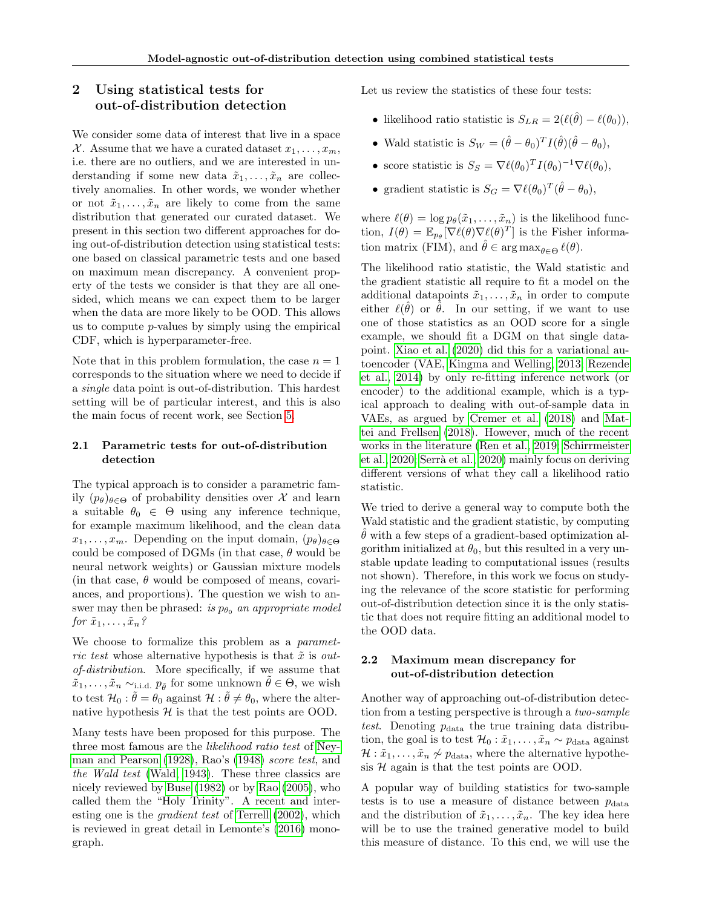# 2 Using statistical tests for out-of-distribution detection

We consider some data of interest that live in a space X. Assume that we have a curated dataset  $x_1, \ldots, x_m$ , i.e. there are no outliers, and we are interested in understanding if some new data  $\tilde{x}_1, \ldots, \tilde{x}_n$  are collectively anomalies. In other words, we wonder whether or not  $\tilde{x}_1, \ldots, \tilde{x}_n$  are likely to come from the same distribution that generated our curated dataset. We present in this section two different approaches for doing out-of-distribution detection using statistical tests: one based on classical parametric tests and one based on maximum mean discrepancy. A convenient property of the tests we consider is that they are all onesided, which means we can expect them to be larger when the data are more likely to be OOD. This allows us to compute p-values by simply using the empirical CDF, which is hyperparameter-free.

Note that in this problem formulation, the case  $n = 1$ corresponds to the situation where we need to decide if a single data point is out-of-distribution. This hardest setting will be of particular interest, and this is also the main focus of recent work, see Section [5.](#page-5-0)

## <span id="page-1-0"></span>2.1 Parametric tests for out-of-distribution detection

The typical approach is to consider a parametric family  $(p_{\theta})_{\theta \in \Theta}$  of probability densities over X and learn a suitable  $\theta_0 \in \Theta$  using any inference technique, for example maximum likelihood, and the clean data  $x_1, \ldots, x_m$ . Depending on the input domain,  $(p_\theta)_{\theta \in \Theta}$ could be composed of DGMs (in that case,  $\theta$  would be neural network weights) or Gaussian mixture models (in that case,  $\theta$  would be composed of means, covariances, and proportions). The question we wish to answer may then be phrased: is  $p_{\theta_0}$  an appropriate model for  $\tilde{x}_1, \ldots, \tilde{x}_n$ ?

We choose to formalize this problem as a *paramet*ric test whose alternative hypothesis is that  $\tilde{x}$  is outof-distribution. More specifically, if we assume that  $\tilde{x}_1, \ldots, \tilde{x}_n \sim_{i.i.d.} p_{\tilde{\theta}}$  for some unknown  $\tilde{\theta} \in \Theta$ , we wish to test  $\mathcal{H}_0$ :  $\tilde{\theta} = \theta_0$  against  $\mathcal{H}$ :  $\tilde{\theta} \neq \theta_0$ , where the alternative hypothesis  $H$  is that the test points are OOD.

Many tests have been proposed for this purpose. The three most famous are the likelihood ratio test of [Ney](#page-10-2)[man and Pearson](#page-10-2) [\(1928\)](#page-10-2), Rao's [\(1948\)](#page-10-3) score test, and the Wald test [\(Wald, 1943\)](#page-11-1). These three classics are nicely reviewed by [Buse](#page-9-4) [\(1982\)](#page-9-4) or by [Rao](#page-10-4) [\(2005\)](#page-10-4), who called them the "Holy Trinity". A recent and interesting one is the gradient test of [Terrell](#page-11-2) [\(2002\)](#page-11-2), which is reviewed in great detail in Lemonte's [\(2016\)](#page-10-5) monograph.

Let us review the statistics of these four tests:

- likelihood ratio statistic is  $S_{LR} = 2(\ell(\hat{\theta}) \ell(\theta_0)),$
- Wald statistic is  $S_W = (\hat{\theta} \theta_0)^T I(\hat{\theta}) (\hat{\theta} \theta_0),$
- score statistic is  $S_S = \nabla \ell(\theta_0)^T I(\theta_0)^{-1} \nabla \ell(\theta_0),$
- gradient statistic is  $S_G = \nabla \ell(\theta_0)^T (\hat{\theta} \theta_0),$

where  $\ell(\theta) = \log p_{\theta}(\tilde{x}_1, \ldots, \tilde{x}_n)$  is the likelihood function,  $I(\theta) = \mathbb{E}_{p_{\theta}}[\nabla \ell(\theta) \nabla \ell(\theta)^{T}]$  is the Fisher information matrix (FIM), and  $\hat{\theta} \in \arg \max_{\theta \in \Theta} \ell(\theta)$ .

The likelihood ratio statistic, the Wald statistic and the gradient statistic all require to fit a model on the additional datapoints  $\tilde{x}_1, \ldots, \tilde{x}_n$  in order to compute either  $\ell(\hat{\theta})$  or  $\tilde{\theta}$ . In our setting, if we want to use one of those statistics as an OOD score for a single example, we should fit a DGM on that single datapoint. [Xiao et al.](#page-11-3) [\(2020\)](#page-11-3) did this for a variational autoencoder (VAE, [Kingma and Welling, 2013;](#page-9-5) [Rezende](#page-10-6) [et al., 2014\)](#page-10-6) by only re-fitting inference network (or encoder) to the additional example, which is a typical approach to dealing with out-of-sample data in VAEs, as argued by [Cremer et al.](#page-9-6) [\(2018\)](#page-9-6) and [Mat](#page-10-7)[tei and Frellsen](#page-10-7) [\(2018\)](#page-10-7). However, much of the recent works in the literature [\(Ren et al., 2019;](#page-10-8) [Schirrmeister](#page-11-4) [et al., 2020;](#page-11-4) Serrà et al., 2020) mainly focus on deriving different versions of what they call a likelihood ratio statistic.

We tried to derive a general way to compute both the Wald statistic and the gradient statistic, by computing  $\theta$  with a few steps of a gradient-based optimization algorithm initialized at  $\theta_0$ , but this resulted in a very unstable update leading to computational issues (results not shown). Therefore, in this work we focus on studying the relevance of the score statistic for performing out-of-distribution detection since it is the only statistic that does not require fitting an additional model to the OOD data.

## <span id="page-1-1"></span>2.2 Maximum mean discrepancy for out-of-distribution detection

Another way of approaching out-of-distribution detection from a testing perspective is through a two-sample test. Denoting  $p_{data}$  the true training data distribution, the goal is to test  $\mathcal{H}_0 : \tilde{x}_1, \ldots, \tilde{x}_n \sim p_{\text{data}}$  against  $\mathcal{H} : \tilde{x}_1, \ldots, \tilde{x}_n \not\sim p_{\text{data}}$ , where the alternative hypothesis  $H$  again is that the test points are OOD.

A popular way of building statistics for two-sample tests is to use a measure of distance between  $p_{data}$ and the distribution of  $\tilde{x}_1, \ldots, \tilde{x}_n$ . The key idea here will be to use the trained generative model to build this measure of distance. To this end, we will use the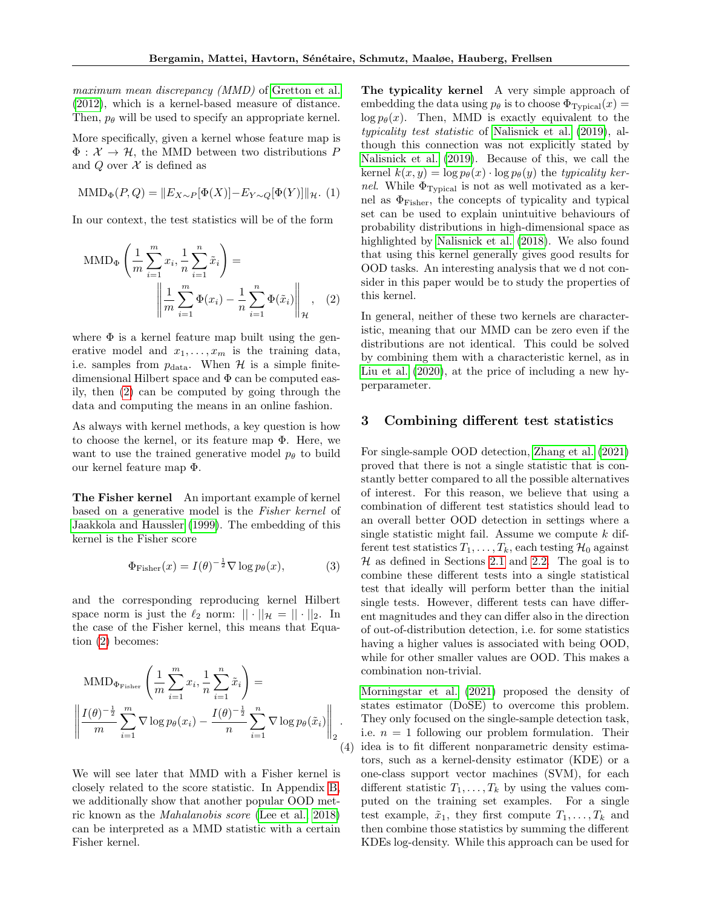maximum mean discrepancy (MMD) of [Gretton et al.](#page-9-7) [\(2012\)](#page-9-7), which is a kernel-based measure of distance. Then,  $p_{\theta}$  will be used to specify an appropriate kernel.

More specifically, given a kernel whose feature map is  $\Phi: \mathcal{X} \to \mathcal{H}$ , the MMD between two distributions P and Q over  $\mathcal X$  is defined as

$$
\text{MMD}_{\Phi}(P,Q) = ||E_{X \sim P}[\Phi(X)] - E_{Y \sim Q}[\Phi(Y)]||_{\mathcal{H}}.
$$
 (1)

In our context, the test statistics will be of the form

MMD<sub>Φ</sub> 
$$
\left( \frac{1}{m} \sum_{i=1}^{m} x_i, \frac{1}{n} \sum_{i=1}^{n} \tilde{x}_i \right) =
$$
  

$$
\left\| \frac{1}{m} \sum_{i=1}^{m} \Phi(x_i) - \frac{1}{n} \sum_{i=1}^{n} \Phi(\tilde{x}_i) \right\|_{\mathcal{H}}, \quad (2)
$$

where  $\Phi$  is a kernel feature map built using the generative model and  $x_1, \ldots, x_m$  is the training data, i.e. samples from  $p_{data}$ . When  $H$  is a simple finitedimensional Hilbert space and  $\Phi$  can be computed easily, then [\(2\)](#page-2-0) can be computed by going through the data and computing the means in an online fashion.

As always with kernel methods, a key question is how to choose the kernel, or its feature map Φ. Here, we want to use the trained generative model  $p_{\theta}$  to build our kernel feature map Φ.

The Fisher kernel An important example of kernel based on a generative model is the Fisher kernel of [Jaakkola and Haussler](#page-9-8) [\(1999\)](#page-9-8). The embedding of this kernel is the Fisher score

$$
\Phi_{\text{Fisher}}(x) = I(\theta)^{-\frac{1}{2}} \nabla \log p_{\theta}(x),\tag{3}
$$

and the corresponding reproducing kernel Hilbert space norm is just the  $\ell_2$  norm:  $|| \cdot ||_{\mathcal{H}} = || \cdot ||_2$ . In the case of the Fisher kernel, this means that Equation [\(2\)](#page-2-0) becomes:

$$
\text{MMD}_{\Phi_{\text{Fisher}}} \left( \frac{1}{m} \sum_{i=1}^{m} x_i, \frac{1}{n} \sum_{i=1}^{n} \tilde{x}_i \right) =
$$
\n
$$
\left\| \frac{I(\theta)^{-\frac{1}{2}}}{m} \sum_{i=1}^{m} \nabla \log p_{\theta}(x_i) - \frac{I(\theta)^{-\frac{1}{2}}}{n} \sum_{i=1}^{n} \nabla \log p_{\theta}(\tilde{x}_i) \right\|_2.
$$
\n(4)

We will see later that MMD with a Fisher kernel is closely related to the score statistic. In Appendix [B,](#page-13-0) we additionally show that another popular OOD metric known as the Mahalanobis score [\(Lee et al., 2018\)](#page-10-9) can be interpreted as a MMD statistic with a certain Fisher kernel.

The typicality kernel A very simple approach of embedding the data using  $p_\theta$  is to choose  $\Phi_{\text{Typical}}(x) =$  $\log p_{\theta}(x)$ . Then, MMD is exactly equivalent to the typicality test statistic of [Nalisnick et al.](#page-10-1) [\(2019\)](#page-10-1), although this connection was not explicitly stated by [Nalisnick et al.](#page-10-1) [\(2019\)](#page-10-1). Because of this, we call the kernel  $k(x, y) = \log p_\theta(x) \cdot \log p_\theta(y)$  the typicality kernel. While  $\Phi_{\text{Typical}}$  is not as well motivated as a kernel as  $\Phi_{\text{Fisher}}$ , the concepts of typicality and typical set can be used to explain unintuitive behaviours of probability distributions in high-dimensional space as highlighted by [Nalisnick et al.](#page-10-0) [\(2018\)](#page-10-0). We also found that using this kernel generally gives good results for OOD tasks. An interesting analysis that we d not consider in this paper would be to study the properties of this kernel.

<span id="page-2-0"></span>In general, neither of these two kernels are characteristic, meaning that our MMD can be zero even if the distributions are not identical. This could be solved by combining them with a characteristic kernel, as in [Liu et al.](#page-10-10) [\(2020\)](#page-10-10), at the price of including a new hyperparameter.

## <span id="page-2-2"></span>3 Combining different test statistics

For single-sample OOD detection, [Zhang et al.](#page-11-0) [\(2021\)](#page-11-0) proved that there is not a single statistic that is constantly better compared to all the possible alternatives of interest. For this reason, we believe that using a combination of different test statistics should lead to an overall better OOD detection in settings where a single statistic might fail. Assume we compute  $k$  different test statistics  $T_1, \ldots, T_k$ , each testing  $\mathcal{H}_0$  against  $H$  as defined in Sections [2.1](#page-1-0) and [2.2.](#page-1-1) The goal is to combine these different tests into a single statistical test that ideally will perform better than the initial single tests. However, different tests can have different magnitudes and they can differ also in the direction of out-of-distribution detection, i.e. for some statistics having a higher values is associated with being OOD, while for other smaller values are OOD. This makes a combination non-trivial.

<span id="page-2-1"></span>(4) idea is to fit different nonparametric density estima-[Morningstar et al.](#page-10-11) [\(2021\)](#page-10-11) proposed the density of states estimator (DoSE) to overcome this problem. They only focused on the single-sample detection task, i.e.  $n = 1$  following our problem formulation. Their tors, such as a kernel-density estimator (KDE) or a one-class support vector machines (SVM), for each different statistic  $T_1, \ldots, T_k$  by using the values computed on the training set examples. For a single test example,  $\tilde{x}_1$ , they first compute  $T_1, \ldots, T_k$  and then combine those statistics by summing the different KDEs log-density. While this approach can be used for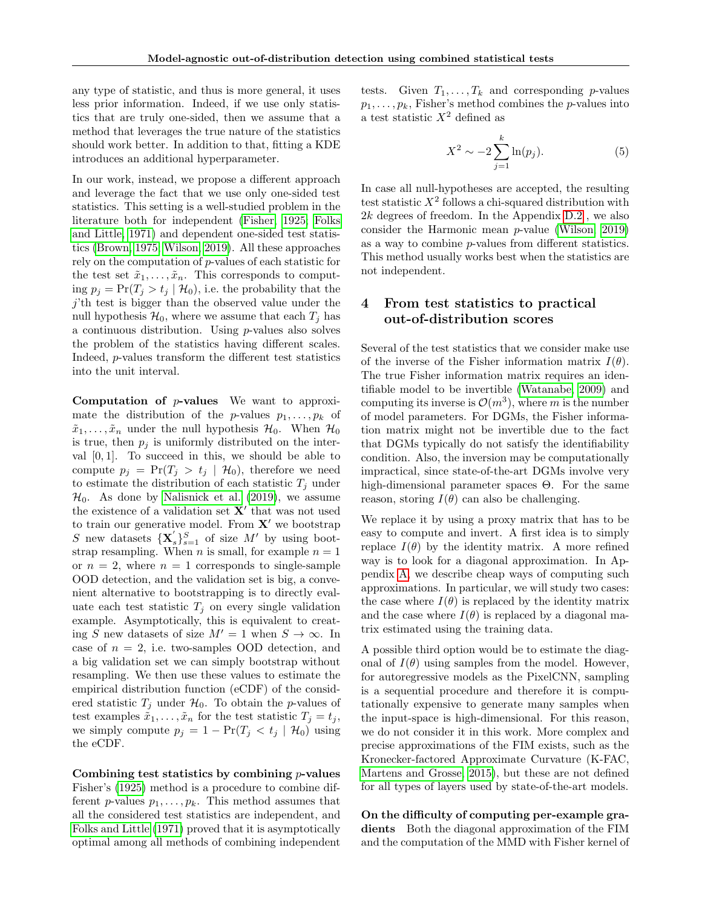any type of statistic, and thus is more general, it uses less prior information. Indeed, if we use only statistics that are truly one-sided, then we assume that a method that leverages the true nature of the statistics should work better. In addition to that, fitting a KDE introduces an additional hyperparameter.

In our work, instead, we propose a different approach and leverage the fact that we use only one-sided test statistics. This setting is a well-studied problem in the literature both for independent [\(Fisher, 1925;](#page-9-9) [Folks](#page-9-10) [and Little, 1971\)](#page-9-10) and dependent one-sided test statistics [\(Brown, 1975;](#page-9-11) [Wilson, 2019\)](#page-11-6). All these approaches rely on the computation of p-values of each statistic for the test set  $\tilde{x}_1, \ldots, \tilde{x}_n$ . This corresponds to computing  $p_j = \Pr(T_j > t_j | \mathcal{H}_0)$ , i.e. the probability that the j'th test is bigger than the observed value under the null hypothesis  $\mathcal{H}_0$ , where we assume that each  $T_i$  has a continuous distribution. Using p-values also solves the problem of the statistics having different scales. Indeed, p-values transform the different test statistics into the unit interval.

**Computation of**  $p$ **-values** We want to approximate the distribution of the *p*-values  $p_1, \ldots, p_k$  of  $\tilde{x}_1, \ldots, \tilde{x}_n$  under the null hypothesis  $\mathcal{H}_0$ . When  $\mathcal{H}_0$ is true, then  $p_i$  is uniformly distributed on the interval  $[0, 1]$ . To succeed in this, we should be able to compute  $p_j = \Pr(T_j > t_j \mid \mathcal{H}_0)$ , therefore we need to estimate the distribution of each statistic  $T_j$  under  $\mathcal{H}_0$ . As done by [Nalisnick et al.](#page-10-1) [\(2019\)](#page-10-1), we assume the existence of a validation set  $X'$  that was not used to train our generative model. From  $X'$  we bootstrap S new datasets  $\{X_s\}_{s=1}^S$  of size M' by using bootstrap resampling. When *n* is small, for example  $n = 1$ or  $n = 2$ , where  $n = 1$  corresponds to single-sample OOD detection, and the validation set is big, a convenient alternative to bootstrapping is to directly evaluate each test statistic  $T_i$  on every single validation example. Asymptotically, this is equivalent to creating S new datasets of size  $M' = 1$  when  $S \to \infty$ . In case of  $n = 2$ , i.e. two-samples OOD detection, and a big validation set we can simply bootstrap without resampling. We then use these values to estimate the empirical distribution function (eCDF) of the considered statistic  $T_j$  under  $\mathcal{H}_0$ . To obtain the p-values of test examples  $\tilde{x}_1, \ldots, \tilde{x}_n$  for the test statistic  $T_j = t_j$ , we simply compute  $p_j = 1 - \Pr(T_j < t_j \mid \mathcal{H}_0)$  using the eCDF.

Combining test statistics by combining  $p$ -values Fisher's [\(1925\)](#page-9-9) method is a procedure to combine different p-values  $p_1, \ldots, p_k$ . This method assumes that all the considered test statistics are independent, and [Folks and Little](#page-9-10) [\(1971\)](#page-9-10) proved that it is asymptotically optimal among all methods of combining independent

tests. Given  $T_1, \ldots, T_k$  and corresponding *p*-values  $p_1, \ldots, p_k$ , Fisher's method combines the p-values into a test statistic  $X^2$  defined as

<span id="page-3-1"></span>
$$
X^2 \sim -2\sum_{j=1}^{k} \ln(p_j). \tag{5}
$$

In case all null-hypotheses are accepted, the resulting test statistic  $X^2$  follows a chi-squared distribution with 2k degrees of freedom. In the Appendix [D.2](#page-16-0) , we also consider the Harmonic mean p-value [\(Wilson, 2019\)](#page-11-6) as a way to combine p-values from different statistics. This method usually works best when the statistics are not independent.

## <span id="page-3-0"></span>4 From test statistics to practical out-of-distribution scores

Several of the test statistics that we consider make use of the inverse of the Fisher information matrix  $I(\theta)$ . The true Fisher information matrix requires an identifiable model to be invertible [\(Watanabe, 2009\)](#page-11-7) and computing its inverse is  $\mathcal{O}(m^3)$ , where m is the number of model parameters. For DGMs, the Fisher information matrix might not be invertible due to the fact that DGMs typically do not satisfy the identifiability condition. Also, the inversion may be computationally impractical, since state-of-the-art DGMs involve very high-dimensional parameter spaces Θ. For the same reason, storing  $I(\theta)$  can also be challenging.

We replace it by using a proxy matrix that has to be easy to compute and invert. A first idea is to simply replace  $I(\theta)$  by the identity matrix. A more refined way is to look for a diagonal approximation. In Appendix [A,](#page-12-0) we describe cheap ways of computing such approximations. In particular, we will study two cases: the case where  $I(\theta)$  is replaced by the identity matrix and the case where  $I(\theta)$  is replaced by a diagonal matrix estimated using the training data.

A possible third option would be to estimate the diagonal of  $I(\theta)$  using samples from the model. However, for autoregressive models as the PixelCNN, sampling is a sequential procedure and therefore it is computationally expensive to generate many samples when the input-space is high-dimensional. For this reason, we do not consider it in this work. More complex and precise approximations of the FIM exists, such as the Kronecker-factored Approximate Curvature (K-FAC, [Martens and Grosse, 2015\)](#page-10-12), but these are not defined for all types of layers used by state-of-the-art models.

On the difficulty of computing per-example gradients Both the diagonal approximation of the FIM and the computation of the MMD with Fisher kernel of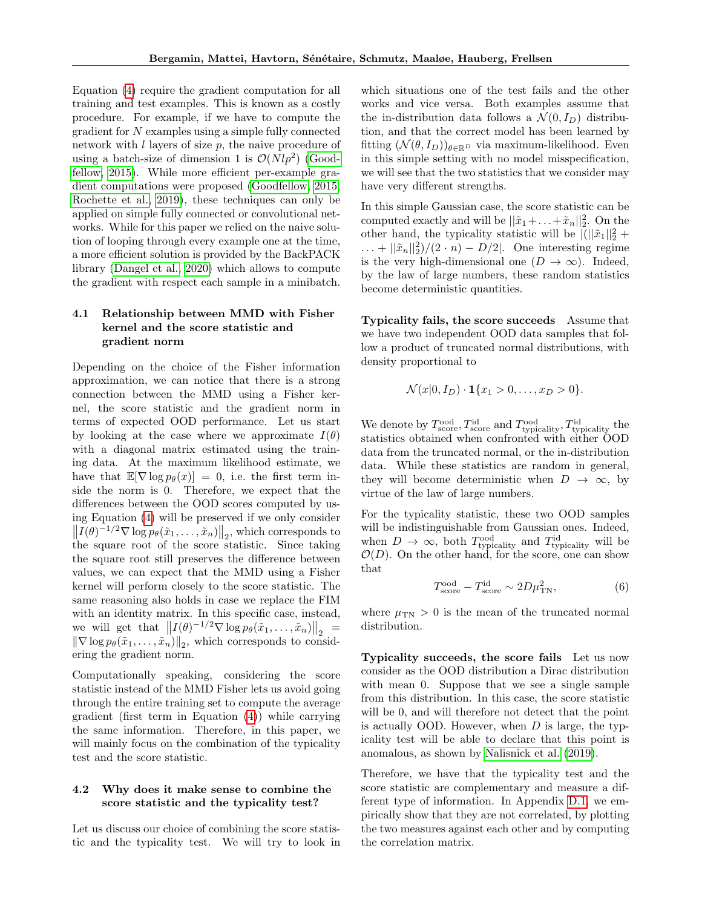Equation [\(4\)](#page-2-1) require the gradient computation for all training and test examples. This is known as a costly procedure. For example, if we have to compute the gradient for N examples using a simple fully connected network with  $l$  layers of size  $p$ , the naive procedure of using a batch-size of dimension 1 is  $\mathcal{O}(Nlp^2)$  [\(Good](#page-9-12)[fellow, 2015\)](#page-9-12). While more efficient per-example gradient computations were proposed [\(Goodfellow, 2015;](#page-9-12) [Rochette et al., 2019\)](#page-10-13), these techniques can only be applied on simple fully connected or convolutional networks. While for this paper we relied on the naive solution of looping through every example one at the time, a more efficient solution is provided by the BackPACK library [\(Dangel et al., 2020\)](#page-9-13) which allows to compute the gradient with respect each sample in a minibatch.

## 4.1 Relationship between MMD with Fisher kernel and the score statistic and gradient norm

Depending on the choice of the Fisher information approximation, we can notice that there is a strong connection between the MMD using a Fisher kernel, the score statistic and the gradient norm in terms of expected OOD performance. Let us start by looking at the case where we approximate  $I(\theta)$ with a diagonal matrix estimated using the training data. At the maximum likelihood estimate, we have that  $\mathbb{E}[\nabla \log p_{\theta}(x)] = 0$ , i.e. the first term inside the norm is 0. Therefore, we expect that the differences between the OOD scores computed by using Equation [\(4\)](#page-2-1) will be preserved if we only consider  $\left\| I(\theta)^{-1/2} \nabla \log p_{\theta}(\tilde{x}_1, \ldots, \tilde{x}_n) \right\|_2$ , which corresponds to the square root of the score statistic. Since taking the square root still preserves the difference between values, we can expect that the MMD using a Fisher kernel will perform closely to the score statistic. The same reasoning also holds in case we replace the FIM with an identity matrix. In this specific case, instead, we will get that  $\left\| I(\theta)^{-1/2} \nabla \log p_{\theta}(\tilde{x}_1, \ldots, \tilde{x}_n) \right\|_2 =$ we will get that  $||I(\theta)| \leq V \log p_{\theta}(x_1, \ldots, x_n)||_2 =$ <br> $||\nabla \log p_{\theta}(\tilde{x}_1, \ldots, \tilde{x}_n)||_2$ , which corresponds to considering the gradient norm.

Computationally speaking, considering the score statistic instead of the MMD Fisher lets us avoid going through the entire training set to compute the average gradient (first term in Equation [\(4\)](#page-2-1)) while carrying the same information. Therefore, in this paper, we will mainly focus on the combination of the typicality test and the score statistic.

#### 4.2 Why does it make sense to combine the score statistic and the typicality test?

Let us discuss our choice of combining the score statistic and the typicality test. We will try to look in which situations one of the test fails and the other works and vice versa. Both examples assume that the in-distribution data follows a  $\mathcal{N}(0, I_D)$  distribution, and that the correct model has been learned by fitting  $(\mathcal{N}(\theta, I_D))_{\theta \in \mathbb{R}^D}$  via maximum-likelihood. Even in this simple setting with no model misspecification, we will see that the two statistics that we consider may have very different strengths.

In this simple Gaussian case, the score statistic can be computed exactly and will be  $||\tilde{x}_1 + ... + \tilde{x}_n||_2^2$ . On the other hand, the typicality statistic will be  $\left| \left( \|\tilde{x}_1\|_2^2 + \right)$  $\ldots + ||\tilde{x}_n||_2^2$ / $(2 \cdot n) - D/2$ . One interesting regime is the very high-dimensional one  $(D \to \infty)$ . Indeed, by the law of large numbers, these random statistics become deterministic quantities.

Typicality fails, the score succeeds Assume that we have two independent OOD data samples that follow a product of truncated normal distributions, with density proportional to

$$
\mathcal{N}(x|0, I_D) \cdot \mathbf{1}\{x_1 > 0, \dots, x_D > 0\}.
$$

We denote by  $T_{\text{score}}^{\text{ood}}, T_{\text{score}}^{\text{id}}$  and  $T_{\text{typically}}^{\text{ood}}, T_{\text{typically}}^{\text{id}}$  the statistics obtained when confronted with either OOD data from the truncated normal, or the in-distribution data. While these statistics are random in general, they will become deterministic when  $D \rightarrow \infty$ , by virtue of the law of large numbers.

For the typicality statistic, these two OOD samples will be indistinguishable from Gaussian ones. Indeed, when  $D \to \infty$ , both  $T_{\text{typically}}^{\text{ood}}$  and  $T_{\text{typically}}^{\text{id}}$  will be  $\mathcal{O}(D)$ . On the other hand, for the score, one can show that

$$
T_{\text{score}}^{\text{ood}} - T_{\text{score}}^{\text{id}} \sim 2D\mu_{\text{TN}}^2,\tag{6}
$$

where  $\mu_{TN} > 0$  is the mean of the truncated normal distribution.

Typicality succeeds, the score fails Let us now consider as the OOD distribution a Dirac distribution with mean 0. Suppose that we see a single sample from this distribution. In this case, the score statistic will be 0, and will therefore not detect that the point is actually OOD. However, when  $D$  is large, the typicality test will be able to declare that this point is anomalous, as shown by [Nalisnick et al.](#page-10-1) [\(2019\)](#page-10-1).

Therefore, we have that the typicality test and the score statistic are complementary and measure a different type of information. In Appendix [D.1,](#page-15-0) we empirically show that they are not correlated, by plotting the two measures against each other and by computing the correlation matrix.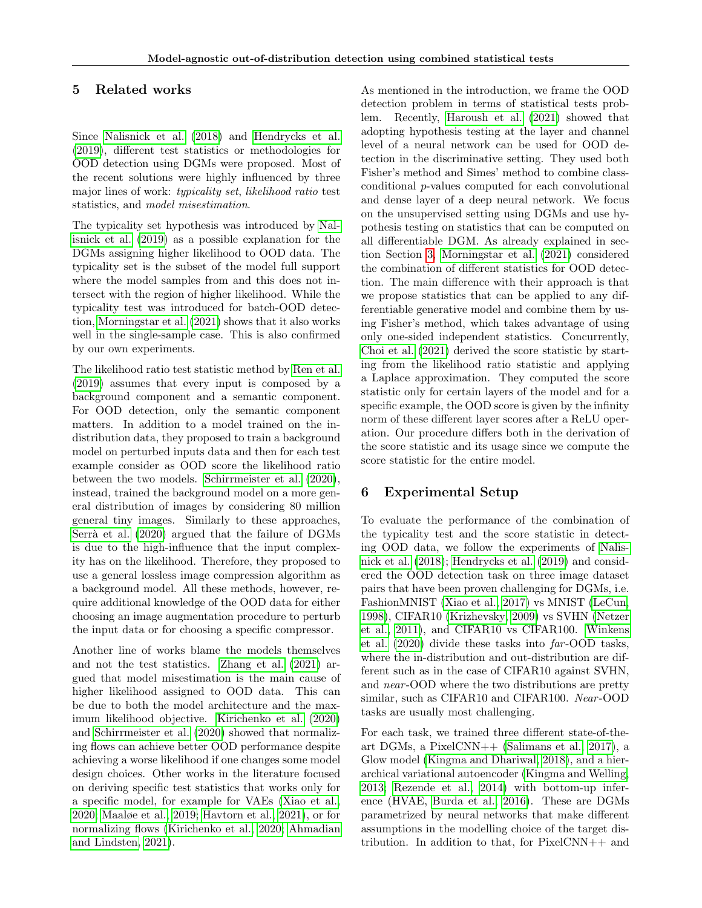## <span id="page-5-0"></span>5 Related works

Since [Nalisnick et al.](#page-10-0) [\(2018\)](#page-10-0) and [Hendrycks et al.](#page-9-1) [\(2019\)](#page-9-1), different test statistics or methodologies for OOD detection using DGMs were proposed. Most of the recent solutions were highly influenced by three major lines of work: typicality set, likelihood ratio test statistics, and model misestimation.

The typicality set hypothesis was introduced by [Nal](#page-10-1)[isnick et al.](#page-10-1) [\(2019\)](#page-10-1) as a possible explanation for the DGMs assigning higher likelihood to OOD data. The typicality set is the subset of the model full support where the model samples from and this does not intersect with the region of higher likelihood. While the typicality test was introduced for batch-OOD detection, [Morningstar et al.](#page-10-11) [\(2021\)](#page-10-11) shows that it also works well in the single-sample case. This is also confirmed by our own experiments.

The likelihood ratio test statistic method by [Ren et al.](#page-10-8) [\(2019\)](#page-10-8) assumes that every input is composed by a background component and a semantic component. For OOD detection, only the semantic component matters. In addition to a model trained on the indistribution data, they proposed to train a background model on perturbed inputs data and then for each test example consider as OOD score the likelihood ratio between the two models. [Schirrmeister et al.](#page-11-4) [\(2020\)](#page-11-4), instead, trained the background model on a more general distribution of images by considering 80 million general tiny images. Similarly to these approaches, Serrà et al. [\(2020\)](#page-11-5) argued that the failure of DGMs is due to the high-influence that the input complexity has on the likelihood. Therefore, they proposed to use a general lossless image compression algorithm as a background model. All these methods, however, require additional knowledge of the OOD data for either choosing an image augmentation procedure to perturb the input data or for choosing a specific compressor.

Another line of works blame the models themselves and not the test statistics. [Zhang et al.](#page-11-0) [\(2021\)](#page-11-0) argued that model misestimation is the main cause of higher likelihood assigned to OOD data. This can be due to both the model architecture and the maximum likelihood objective. [Kirichenko et al.](#page-9-14) [\(2020\)](#page-9-14) and [Schirrmeister et al.](#page-11-4) [\(2020\)](#page-11-4) showed that normalizing flows can achieve better OOD performance despite achieving a worse likelihood if one changes some model design choices. Other works in the literature focused on deriving specific test statistics that works only for a specific model, for example for VAEs [\(Xiao et al.,](#page-11-3) [2020;](#page-11-3) [Maaløe et al., 2019;](#page-10-14) [Havtorn et al., 2021\)](#page-9-15), or for normalizing flows [\(Kirichenko et al., 2020;](#page-9-14) [Ahmadian](#page-9-2) [and Lindsten, 2021\)](#page-9-2).

As mentioned in the introduction, we frame the OOD detection problem in terms of statistical tests problem. Recently, [Haroush et al.](#page-9-3) [\(2021\)](#page-9-3) showed that adopting hypothesis testing at the layer and channel level of a neural network can be used for OOD detection in the discriminative setting. They used both Fisher's method and Simes' method to combine classconditional p-values computed for each convolutional and dense layer of a deep neural network. We focus on the unsupervised setting using DGMs and use hypothesis testing on statistics that can be computed on all differentiable DGM. As already explained in section Section [3,](#page-2-2) [Morningstar et al.](#page-10-11) [\(2021\)](#page-10-11) considered the combination of different statistics for OOD detection. The main difference with their approach is that we propose statistics that can be applied to any differentiable generative model and combine them by using Fisher's method, which takes advantage of using only one-sided independent statistics. Concurrently, [Choi et al.](#page-9-16) [\(2021\)](#page-9-16) derived the score statistic by starting from the likelihood ratio statistic and applying a Laplace approximation. They computed the score statistic only for certain layers of the model and for a specific example, the OOD score is given by the infinity norm of these different layer scores after a ReLU operation. Our procedure differs both in the derivation of the score statistic and its usage since we compute the score statistic for the entire model.

# 6 Experimental Setup

To evaluate the performance of the combination of the typicality test and the score statistic in detecting OOD data, we follow the experiments of [Nalis](#page-10-0)[nick et al.](#page-10-0) [\(2018\)](#page-10-0); [Hendrycks et al.](#page-9-1) [\(2019\)](#page-9-1) and considered the OOD detection task on three image dataset pairs that have been proven challenging for DGMs, i.e. FashionMNIST [\(Xiao et al., 2017\)](#page-11-8) vs MNIST [\(LeCun,](#page-10-15) [1998\)](#page-10-15), CIFAR10 [\(Krizhevsky, 2009\)](#page-10-16) vs SVHN [\(Netzer](#page-10-17) [et al., 2011\)](#page-10-17), and CIFAR10 vs CIFAR100. [Winkens](#page-11-9) [et al.](#page-11-9) [\(2020\)](#page-11-9) divide these tasks into far -OOD tasks, where the in-distribution and out-distribution are different such as in the case of CIFAR10 against SVHN, and near -OOD where the two distributions are pretty similar, such as CIFAR10 and CIFAR100. Near-OOD tasks are usually most challenging.

For each task, we trained three different state-of-theart DGMs, a PixelCNN++ [\(Salimans et al., 2017\)](#page-10-18), a Glow model [\(Kingma and Dhariwal, 2018\)](#page-9-17), and a hierarchical variational autoencoder [\(Kingma and Welling,](#page-9-5) [2013;](#page-9-5) [Rezende et al., 2014\)](#page-10-6) with bottom-up inference (HVAE, [Burda et al., 2016\)](#page-9-18). These are DGMs parametrized by neural networks that make different assumptions in the modelling choice of the target distribution. In addition to that, for  $PixelCNN++$  and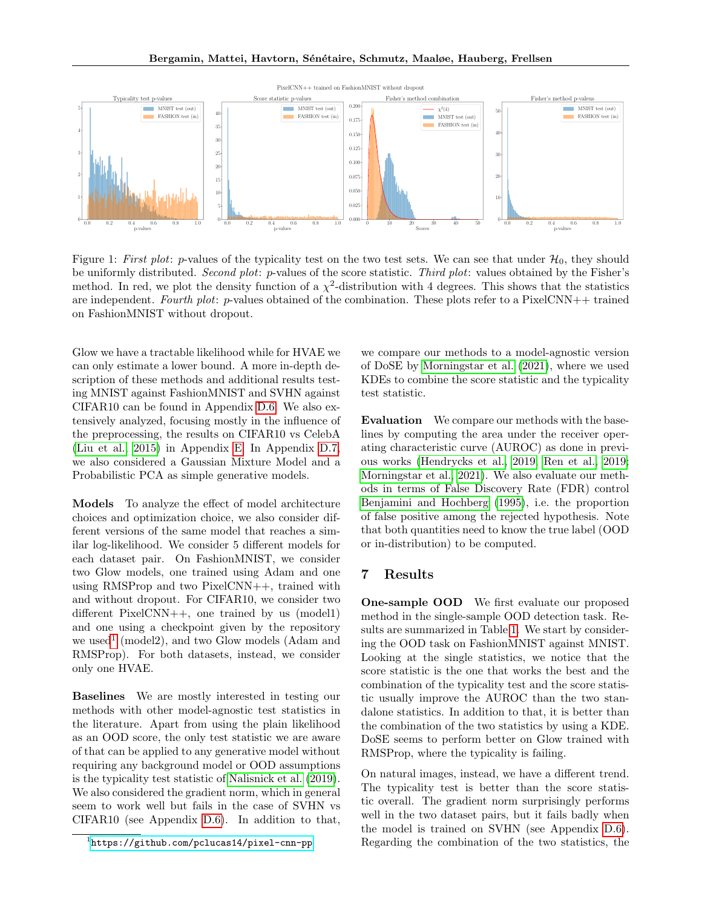<span id="page-6-1"></span>

Figure 1: First plot: p-values of the typicality test on the two test sets. We can see that under  $\mathcal{H}_0$ , they should be uniformly distributed. Second plot: p-values of the score statistic. Third plot: values obtained by the Fisher's method. In red, we plot the density function of a  $\chi^2$ -distribution with 4 degrees. This shows that the statistics are independent. Fourth plot: p-values obtained of the combination. These plots refer to a PixelCNN++ trained on FashionMNIST without dropout.

Glow we have a tractable likelihood while for HVAE we can only estimate a lower bound. A more in-depth description of these methods and additional results testing MNIST against FashionMNIST and SVHN against CIFAR10 can be found in Appendix [D.6.](#page-18-0) We also extensively analyzed, focusing mostly in the influence of the preprocessing, the results on CIFAR10 vs CelebA [\(Liu et al., 2015\)](#page-10-19) in Appendix [E.](#page-20-0) In Appendix [D.7,](#page-18-1) we also considered a Gaussian Mixture Model and a Probabilistic PCA as simple generative models.

Models To analyze the effect of model architecture choices and optimization choice, we also consider different versions of the same model that reaches a similar log-likelihood. We consider 5 different models for each dataset pair. On FashionMNIST, we consider two Glow models, one trained using Adam and one using RMSProp and two PixelCNN++, trained with and without dropout. For CIFAR10, we consider two different  $PixelCNN++$ , one trained by us (model1) and one using a checkpoint given by the repository we used<sup>[1](#page-6-0)</sup> (model2), and two Glow models (Adam and RMSProp). For both datasets, instead, we consider only one HVAE.

Baselines We are mostly interested in testing our methods with other model-agnostic test statistics in the literature. Apart from using the plain likelihood as an OOD score, the only test statistic we are aware of that can be applied to any generative model without requiring any background model or OOD assumptions is the typicality test statistic of [Nalisnick et al.](#page-10-1) [\(2019\)](#page-10-1). We also considered the gradient norm, which in general seem to work well but fails in the case of SVHN vs CIFAR10 (see Appendix [D.6\)](#page-18-0). In addition to that,

we compare our methods to a model-agnostic version of DoSE by [Morningstar et al.](#page-10-11) [\(2021\)](#page-10-11), where we used KDEs to combine the score statistic and the typicality test statistic.

Evaluation We compare our methods with the baselines by computing the area under the receiver operating characteristic curve (AUROC) as done in previous works [\(Hendrycks et al., 2019;](#page-9-1) [Ren et al., 2019;](#page-10-8) [Morningstar et al., 2021\)](#page-10-11). We also evaluate our methods in terms of False Discovery Rate (FDR) control [Benjamini and Hochberg](#page-9-19) [\(1995\)](#page-9-19), i.e. the proportion of false positive among the rejected hypothesis. Note that both quantities need to know the true label (OOD or in-distribution) to be computed.

#### 7 Results

One-sample OOD We first evaluate our proposed method in the single-sample OOD detection task. Results are summarized in Table [1.](#page-7-0) We start by considering the OOD task on FashionMNIST against MNIST. Looking at the single statistics, we notice that the score statistic is the one that works the best and the combination of the typicality test and the score statistic usually improve the AUROC than the two standalone statistics. In addition to that, it is better than the combination of the two statistics by using a KDE. DoSE seems to perform better on Glow trained with RMSProp, where the typicality is failing.

On natural images, instead, we have a different trend. The typicality test is better than the score statistic overall. The gradient norm surprisingly performs well in the two dataset pairs, but it fails badly when the model is trained on SVHN (see Appendix [D.6\)](#page-18-0). Regarding the combination of the two statistics, the

<span id="page-6-0"></span><sup>1</sup> <https://github.com/pclucas14/pixel-cnn-pp>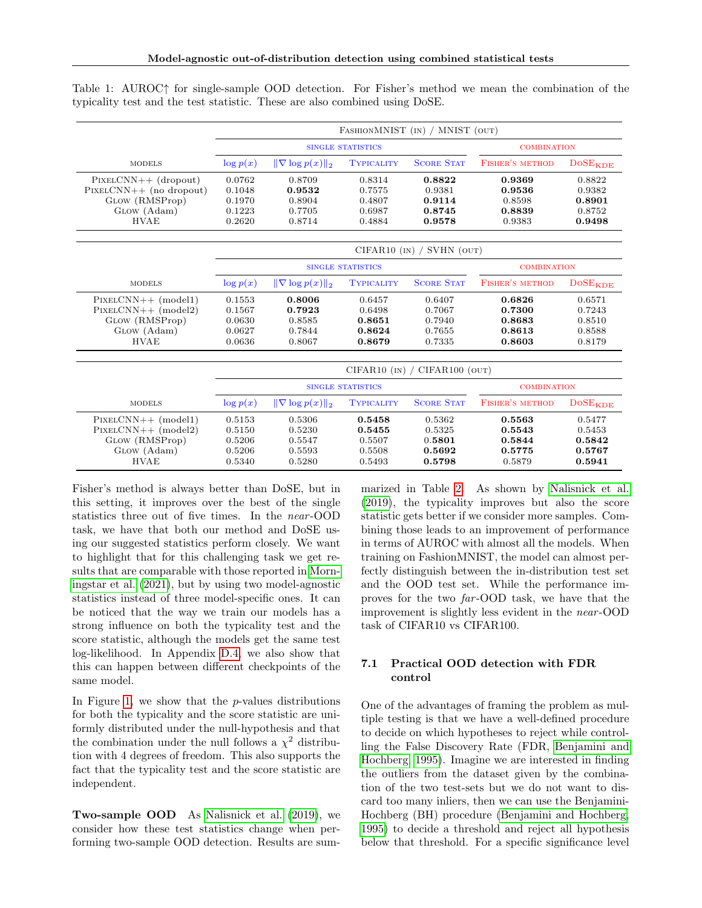|                           |             |                            |                          | FASHIONMNIST (IN) / MNIST (OUT) |                        |                           |  |
|---------------------------|-------------|----------------------------|--------------------------|---------------------------------|------------------------|---------------------------|--|
|                           |             |                            | <b>SINGLE STATISTICS</b> |                                 | <b>COMBINATION</b>     |                           |  |
| <b>MODELS</b>             | $\log p(x)$ | $\ \nabla \log p(x)\ _2$   | <b>TYPICALITY</b>        | <b>SCORE STAT</b>               | <b>FISHER'S METHOD</b> | $DoSE_{KDE}$              |  |
| $PIXELCNN++ (dropout)$    | 0.0762      | 0.8709                     | 0.8314                   | 0.8822                          | 0.9369                 | 0.8822                    |  |
| $PIXELCNN++$ (no dropout) | 0.1048      | 0.9532                     | 0.7575                   | 0.9381                          | 0.9536                 | 0.9382                    |  |
| GLOW (RMSProp)            | 0.1970      | 0.8904                     | 0.4807                   | 0.9114                          | 0.8598                 | 0.8901                    |  |
| GLOW (Adam)               | 0.1223      | 0.7705<br>0.6987<br>0.8745 |                          | 0.8839                          | 0.8752                 |                           |  |
| <b>HVAE</b>               | 0.2620      | 0.8714                     | 0.4884                   | 0.9578                          | 0.9383                 | 0.9498                    |  |
|                           |             |                            |                          | $CIFARI0$ (IN) / SVHN (OUT)     |                        |                           |  |
|                           |             |                            | <b>SINGLE STATISTICS</b> |                                 | <b>COMBINATION</b>     |                           |  |
| <b>MODELS</b>             | $\log p(x)$ | $\ \nabla \log p(x)\ _2$   | <b>TYPICALITY</b>        | <b>SCORE STAT</b>               | FISHER'S METHOD        | DoSE <sub>KDE</sub>       |  |
| $PIXELCNN++ (model1)$     | 0.1553      | 0.8006                     | 0.6457                   | 0.6407                          | 0.6826                 | 0.6571                    |  |
| $PIXELCNN++ (model2)$     | 0.1567      | 0.7923                     | 0.6498                   | 0.7067                          | 0.7300                 | 0.7243                    |  |
| GLOW (RMSProp)            | 0.0630      | 0.8585                     | 0.8651                   | 0.7940                          | 0.8683                 | 0.8510                    |  |
| GLOW (Adam)               | 0.0627      | 0.7844                     | 0.8624                   | 0.7655                          | 0.8613                 | 0.8588                    |  |
| <b>HVAE</b>               | 0.0636      | 0.8067                     | 0.8679                   | 0.7335                          | 0.8603                 | 0.8179                    |  |
|                           |             |                            | $CIFAR10$ (IN) /         | CIFAR100 (OUT)                  |                        |                           |  |
|                           |             |                            | <b>SINGLE STATISTICS</b> |                                 | <b>COMBINATION</b>     |                           |  |
| <b>MODELS</b>             | $\log p(x)$ | $\ \nabla \log p(x)\ _2$   | <b>TYPICALITY</b>        | <b>SCORE STAT</b>               | <b>FISHER'S METHOD</b> | <b>DOSE<sub>KDE</sub></b> |  |
| $PIXELCNN++ (model1)$     | 0.5153      | 0.5306                     | 0.5458                   | 0.5362                          | 0.5563                 | 0.5477                    |  |
| $PIXELCNN++ (model2)$     | 0.5150      | 0.5230                     | 0.5455                   | 0.5325                          | 0.5543                 | 0.5453                    |  |
| GLOW (RMSProp)            | 0.5206      | 0.5547                     | 0.5507                   | 0.5801                          | 0.5844                 | 0.5842                    |  |
| GLOW (Adam)               | 0.5206      | 0.5593                     | 0.5508                   | 0.5692                          | 0.5775                 | 0.5767                    |  |
| <b>HVAE</b>               | 0.5340      | 0.5280                     | 0.5493                   | 0.5798                          | 0.5879                 | 0.5941                    |  |

<span id="page-7-0"></span>Table 1: AUROC↑ for single-sample OOD detection. For Fisher's method we mean the combination of the typicality test and the test statistic. These are also combined using DoSE.

Fisher's method is always better than DoSE, but in this setting, it improves over the best of the single statistics three out of five times. In the near -OOD task, we have that both our method and DoSE using our suggested statistics perform closely. We want to highlight that for this challenging task we get results that are comparable with those reported in [Morn](#page-10-11)[ingstar et al.](#page-10-11) [\(2021\)](#page-10-11), but by using two model-agnostic statistics instead of three model-specific ones. It can be noticed that the way we train our models has a strong influence on both the typicality test and the score statistic, although the models get the same test log-likelihood. In Appendix [D.4,](#page-17-0) we also show that this can happen between different checkpoints of the same model.

In Figure [1,](#page-6-1) we show that the  $p$ -values distributions for both the typicality and the score statistic are uniformly distributed under the null-hypothesis and that the combination under the null follows a  $\chi^2$  distribution with 4 degrees of freedom. This also supports the fact that the typicality test and the score statistic are independent.

Two-sample OOD As [Nalisnick et al.](#page-10-1) [\(2019\)](#page-10-1), we consider how these test statistics change when performing two-sample OOD detection. Results are summarized in Table [2.](#page-8-0) As shown by [Nalisnick et al.](#page-10-1) [\(2019\)](#page-10-1), the typicality improves but also the score statistic gets better if we consider more samples. Combining those leads to an improvement of performance in terms of AUROC with almost all the models. When training on FashionMNIST, the model can almost perfectly distinguish between the in-distribution test set and the OOD test set. While the performance improves for the two far -OOD task, we have that the improvement is slightly less evident in the near -OOD task of CIFAR10 vs CIFAR100.

#### 7.1 Practical OOD detection with FDR control

One of the advantages of framing the problem as multiple testing is that we have a well-defined procedure to decide on which hypotheses to reject while controlling the False Discovery Rate (FDR, [Benjamini and](#page-9-19) [Hochberg, 1995\)](#page-9-19). Imagine we are interested in finding the outliers from the dataset given by the combination of the two test-sets but we do not want to discard too many inliers, then we can use the Benjamini-Hochberg (BH) procedure [\(Benjamini and Hochberg,](#page-9-19) [1995\)](#page-9-19) to decide a threshold and reject all hypothesis below that threshold. For a specific significance level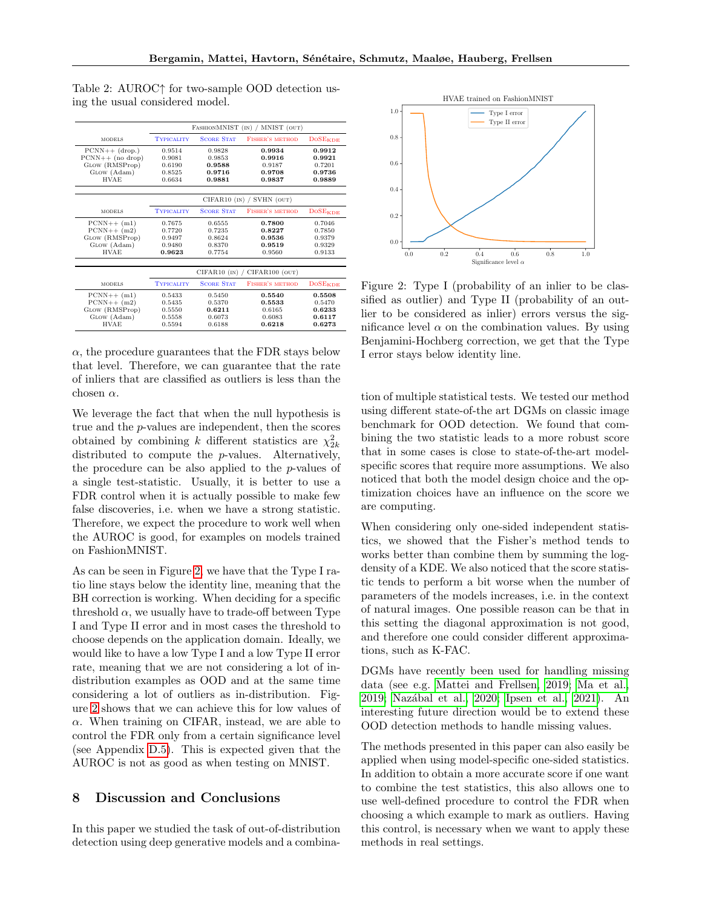|                    |                   |                   | FASHIONMNIST (IN) / MNIST (OUT) |                     |  |
|--------------------|-------------------|-------------------|---------------------------------|---------------------|--|
| <b>MODELS</b>      | <b>TYPICALITY</b> | <b>SCORE STAT</b> | <b>FISHER'S METHOD</b>          | $DoSE_{KDE}$        |  |
| $PCNN++$ (drop.)   | 0.9514            | 0.9828            | 0.9934                          | 0.9912              |  |
| $PCNN++$ (no drop) | 0.9081            | 0.9853            | 0.9916                          | 0.9921              |  |
| GLOW (RMSProp)     | 0.6190            | 0.9588            | 0.9187                          | 0.7201              |  |
| GLOW (Adam)        | 0.8525            | 0.9716            | 0.9708                          | 0.9736              |  |
| <b>HVAE</b>        | 0.6634            | 0.9881            | 0.9837                          | 0.9889              |  |
|                    |                   |                   |                                 |                     |  |
|                    |                   | $CIFAR10$ (IN) /  | SVHN (OUT)                      |                     |  |
| <b>MODELS</b>      | <b>TYPICALITY</b> | <b>SCORE STAT</b> | <b>FISHER'S METHOD</b>          | $DoSE_{KDE}$        |  |
| $PCNN++ (m1)$      | 0.7675            | 0.6555            | 0.7800                          | 0.7046              |  |
| $PCNN++ (m2)$      | 0.7720            | 0.7235            | 0.8227                          | 0.7850              |  |
| GLOW (RMSProp)     | 0.9497            | 0.8624            | 0.9536                          | 0.9379              |  |
| GLOW (Adam)        | 0.9480            | 0.8370            | 0.9519                          | 0.9329              |  |
| <b>HVAE</b>        | 0.9623            | 0.7754            | 0.9560                          | 0.9133              |  |
|                    |                   |                   |                                 |                     |  |
|                    |                   | $CIFAR10$ (IN) /  | CIFAR100 (OUT)                  |                     |  |
| <b>MODELS</b>      | <b>TYPICALITY</b> | <b>SCORE STAT</b> | <b>FISHER'S METHOD</b>          | DoSE <sub>KDE</sub> |  |
| $PCNN++ (m1)$      | 0.5433            | 0.5450            | 0.5540                          | 0.5508              |  |
| $PCNN++ (m2)$      | 0.5435            | 0.5370            | 0.5533                          | 0.5470              |  |
| GLOW (RMSProp)     | 0.5550            | 0.6211            | 0.6165                          | 0.6233              |  |
| GLOW (Adam)        | 0.5558            | 0.6073            | 0.6083                          | 0.6117              |  |
| <b>HVAE</b>        | 0.5594            | 0.6188            | 0.6218                          |                     |  |

<span id="page-8-0"></span>Table 2: AUROC↑ for two-sample OOD detection using the usual considered model.

 $\alpha$ , the procedure guarantees that the FDR stays below that level. Therefore, we can guarantee that the rate of inliers that are classified as outliers is less than the chosen  $\alpha$ .

We leverage the fact that when the null hypothesis is true and the p-values are independent, then the scores obtained by combining k different statistics are  $\chi^2_{2k}$ distributed to compute the p-values. Alternatively, the procedure can be also applied to the p-values of a single test-statistic. Usually, it is better to use a FDR control when it is actually possible to make few false discoveries, i.e. when we have a strong statistic. Therefore, we expect the procedure to work well when the AUROC is good, for examples on models trained on FashionMNIST.

As can be seen in Figure [2,](#page-8-1) we have that the Type I ratio line stays below the identity line, meaning that the BH correction is working. When deciding for a specific threshold  $\alpha$ , we usually have to trade-off between Type I and Type II error and in most cases the threshold to choose depends on the application domain. Ideally, we would like to have a low Type I and a low Type II error rate, meaning that we are not considering a lot of indistribution examples as OOD and at the same time considering a lot of outliers as in-distribution. Figure [2](#page-8-1) shows that we can achieve this for low values of  $\alpha$ . When training on CIFAR, instead, we are able to control the FDR only from a certain significance level (see Appendix [D.5\)](#page-17-1). This is expected given that the AUROC is not as good as when testing on MNIST.

## 8 Discussion and Conclusions

In this paper we studied the task of out-of-distribution detection using deep generative models and a combina-

<span id="page-8-1"></span>

Figure 2: Type I (probability of an inlier to be classified as outlier) and Type II (probability of an outlier to be considered as inlier) errors versus the significance level  $\alpha$  on the combination values. By using Benjamini-Hochberg correction, we get that the Type I error stays below identity line.

tion of multiple statistical tests. We tested our method using different state-of-the art DGMs on classic image benchmark for OOD detection. We found that combining the two statistic leads to a more robust score that in some cases is close to state-of-the-art modelspecific scores that require more assumptions. We also noticed that both the model design choice and the optimization choices have an influence on the score we are computing.

When considering only one-sided independent statistics, we showed that the Fisher's method tends to works better than combine them by summing the logdensity of a KDE. We also noticed that the score statistic tends to perform a bit worse when the number of parameters of the models increases, i.e. in the context of natural images. One possible reason can be that in this setting the diagonal approximation is not good, and therefore one could consider different approximations, such as K-FAC.

DGMs have recently been used for handling missing data (see e.g. [Mattei and Frellsen, 2019;](#page-10-20) [Ma et al.,](#page-10-21) [2019;](#page-10-21) [Naz´abal et al., 2020;](#page-10-22) [Ipsen et al., 2021\)](#page-9-20). An interesting future direction would be to extend these OOD detection methods to handle missing values.

The methods presented in this paper can also easily be applied when using model-specific one-sided statistics. In addition to obtain a more accurate score if one want to combine the test statistics, this also allows one to use well-defined procedure to control the FDR when choosing a which example to mark as outliers. Having this control, is necessary when we want to apply these methods in real settings.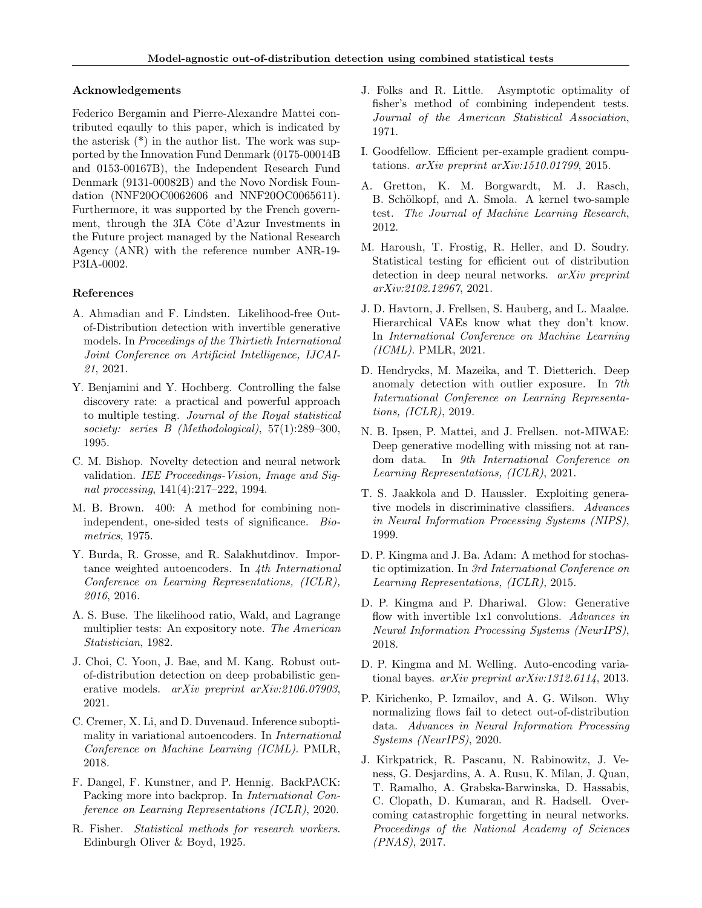#### Acknowledgements

Federico Bergamin and Pierre-Alexandre Mattei contributed eqaully to this paper, which is indicated by the asterisk  $(*)$  in the author list. The work was supported by the Innovation Fund Denmark (0175-00014B and 0153-00167B), the Independent Research Fund Denmark (9131-00082B) and the Novo Nordisk Foundation (NNF20OC0062606 and NNF20OC0065611). Furthermore, it was supported by the French government, through the 3IA Côte d'Azur Investments in the Future project managed by the National Research Agency (ANR) with the reference number ANR-19- P3IA-0002.

#### References

- <span id="page-9-2"></span>A. Ahmadian and F. Lindsten. Likelihood-free Outof-Distribution detection with invertible generative models. In Proceedings of the Thirtieth International Joint Conference on Artificial Intelligence, IJCAI-21, 2021.
- <span id="page-9-19"></span>Y. Benjamini and Y. Hochberg. Controlling the false discovery rate: a practical and powerful approach to multiple testing. Journal of the Royal statistical society: series B (Methodological), 57(1):289–300, 1995.
- <span id="page-9-0"></span>C. M. Bishop. Novelty detection and neural network validation. IEE Proceedings-Vision, Image and Signal processing, 141(4):217–222, 1994.
- <span id="page-9-11"></span>M. B. Brown. 400: A method for combining nonindependent, one-sided tests of significance. Biometrics, 1975.
- <span id="page-9-18"></span>Y. Burda, R. Grosse, and R. Salakhutdinov. Importance weighted autoencoders. In 4th International Conference on Learning Representations, (ICLR), 2016, 2016.
- <span id="page-9-4"></span>A. S. Buse. The likelihood ratio, Wald, and Lagrange multiplier tests: An expository note. The American Statistician, 1982.
- <span id="page-9-16"></span>J. Choi, C. Yoon, J. Bae, and M. Kang. Robust outof-distribution detection on deep probabilistic generative models. *arXiv preprint arXiv:2106.07903*, 2021.
- <span id="page-9-6"></span>C. Cremer, X. Li, and D. Duvenaud. Inference suboptimality in variational autoencoders. In International Conference on Machine Learning (ICML). PMLR, 2018.
- <span id="page-9-13"></span>F. Dangel, F. Kunstner, and P. Hennig. BackPACK: Packing more into backprop. In International Conference on Learning Representations (ICLR), 2020.
- <span id="page-9-9"></span>R. Fisher. Statistical methods for research workers. Edinburgh Oliver & Boyd, 1925.
- <span id="page-9-10"></span>J. Folks and R. Little. Asymptotic optimality of fisher's method of combining independent tests. Journal of the American Statistical Association, 1971.
- <span id="page-9-12"></span>I. Goodfellow. Efficient per-example gradient computations. arXiv preprint arXiv:1510.01799, 2015.
- <span id="page-9-7"></span>A. Gretton, K. M. Borgwardt, M. J. Rasch, B. Schölkopf, and A. Smola. A kernel two-sample test. The Journal of Machine Learning Research, 2012.
- <span id="page-9-3"></span>M. Haroush, T. Frostig, R. Heller, and D. Soudry. Statistical testing for efficient out of distribution detection in deep neural networks. *arXiv preprint* arXiv:2102.12967, 2021.
- <span id="page-9-15"></span>J. D. Havtorn, J. Frellsen, S. Hauberg, and L. Maaløe. Hierarchical VAEs know what they don't know. In International Conference on Machine Learning (ICML). PMLR, 2021.
- <span id="page-9-1"></span>D. Hendrycks, M. Mazeika, and T. Dietterich. Deep anomaly detection with outlier exposure. In 7th International Conference on Learning Representations, (ICLR), 2019.
- <span id="page-9-20"></span>N. B. Ipsen, P. Mattei, and J. Frellsen. not-MIWAE: Deep generative modelling with missing not at random data. In 9th International Conference on Learning Representations, (ICLR), 2021.
- <span id="page-9-8"></span>T. S. Jaakkola and D. Haussler. Exploiting generative models in discriminative classifiers. Advances in Neural Information Processing Systems (NIPS), 1999.
- <span id="page-9-22"></span>D. P. Kingma and J. Ba. Adam: A method for stochastic optimization. In 3rd International Conference on Learning Representations, (ICLR), 2015.
- <span id="page-9-17"></span>D. P. Kingma and P. Dhariwal. Glow: Generative flow with invertible 1x1 convolutions. Advances in Neural Information Processing Systems (NeurIPS), 2018.
- <span id="page-9-5"></span>D. P. Kingma and M. Welling. Auto-encoding variational bayes. arXiv preprint arXiv:1312.6114, 2013.
- <span id="page-9-14"></span>P. Kirichenko, P. Izmailov, and A. G. Wilson. Why normalizing flows fail to detect out-of-distribution data. Advances in Neural Information Processing Systems (NeurIPS), 2020.
- <span id="page-9-21"></span>J. Kirkpatrick, R. Pascanu, N. Rabinowitz, J. Veness, G. Desjardins, A. A. Rusu, K. Milan, J. Quan, T. Ramalho, A. Grabska-Barwinska, D. Hassabis, C. Clopath, D. Kumaran, and R. Hadsell. Overcoming catastrophic forgetting in neural networks. Proceedings of the National Academy of Sciences (PNAS), 2017.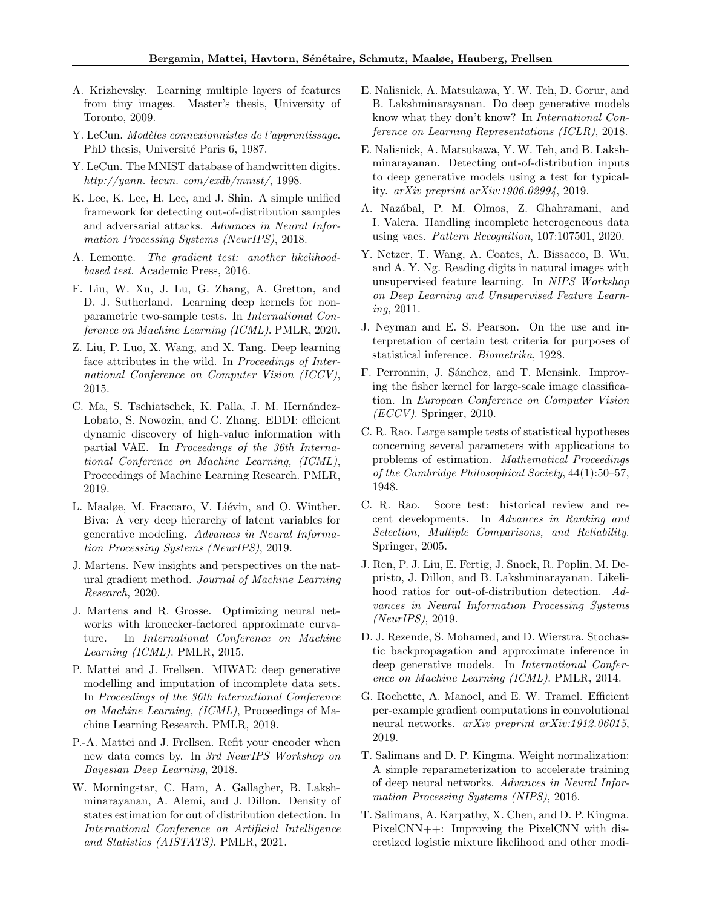- <span id="page-10-16"></span>A. Krizhevsky. Learning multiple layers of features from tiny images. Master's thesis, University of Toronto, 2009.
- <span id="page-10-23"></span>Y. LeCun. Modèles connexionnistes de l'apprentissage. PhD thesis, Université Paris 6, 1987.
- <span id="page-10-15"></span>Y. LeCun. The MNIST database of handwritten digits. http://yann. lecun. com/exdb/mnist/, 1998.
- <span id="page-10-9"></span>K. Lee, K. Lee, H. Lee, and J. Shin. A simple unified framework for detecting out-of-distribution samples and adversarial attacks. Advances in Neural Information Processing Systems (NeurIPS), 2018.
- <span id="page-10-5"></span>A. Lemonte. The gradient test: another likelihoodbased test. Academic Press, 2016.
- <span id="page-10-10"></span>F. Liu, W. Xu, J. Lu, G. Zhang, A. Gretton, and D. J. Sutherland. Learning deep kernels for nonparametric two-sample tests. In International Conference on Machine Learning (ICML). PMLR, 2020.
- <span id="page-10-19"></span>Z. Liu, P. Luo, X. Wang, and X. Tang. Deep learning face attributes in the wild. In *Proceedings of Inter*national Conference on Computer Vision (ICCV), 2015.
- <span id="page-10-21"></span>C. Ma, S. Tschiatschek, K. Palla, J. M. Hernández-Lobato, S. Nowozin, and C. Zhang. EDDI: efficient dynamic discovery of high-value information with partial VAE. In Proceedings of the 36th International Conference on Machine Learning, (ICML), Proceedings of Machine Learning Research. PMLR, 2019.
- <span id="page-10-14"></span>L. Maaløe, M. Fraccaro, V. Liévin, and O. Winther. Biva: A very deep hierarchy of latent variables for generative modeling. Advances in Neural Information Processing Systems (NeurIPS), 2019.
- <span id="page-10-24"></span>J. Martens. New insights and perspectives on the natural gradient method. Journal of Machine Learning Research, 2020.
- <span id="page-10-12"></span>J. Martens and R. Grosse. Optimizing neural networks with kronecker-factored approximate curvature. In International Conference on Machine Learning (ICML). PMLR, 2015.
- <span id="page-10-20"></span>P. Mattei and J. Frellsen. MIWAE: deep generative modelling and imputation of incomplete data sets. In Proceedings of the 36th International Conference on Machine Learning, (ICML), Proceedings of Machine Learning Research. PMLR, 2019.
- <span id="page-10-7"></span>P.-A. Mattei and J. Frellsen. Refit your encoder when new data comes by. In 3rd NeurIPS Workshop on Bayesian Deep Learning, 2018.
- <span id="page-10-11"></span>W. Morningstar, C. Ham, A. Gallagher, B. Lakshminarayanan, A. Alemi, and J. Dillon. Density of states estimation for out of distribution detection. In International Conference on Artificial Intelligence and Statistics (AISTATS). PMLR, 2021.
- <span id="page-10-0"></span>E. Nalisnick, A. Matsukawa, Y. W. Teh, D. Gorur, and B. Lakshminarayanan. Do deep generative models know what they don't know? In International Conference on Learning Representations (ICLR), 2018.
- <span id="page-10-1"></span>E. Nalisnick, A. Matsukawa, Y. W. Teh, and B. Lakshminarayanan. Detecting out-of-distribution inputs to deep generative models using a test for typicality. arXiv preprint arXiv:1906.02994, 2019.
- <span id="page-10-22"></span>A. Naz´abal, P. M. Olmos, Z. Ghahramani, and I. Valera. Handling incomplete heterogeneous data using vaes. Pattern Recognition, 107:107501, 2020.
- <span id="page-10-17"></span>Y. Netzer, T. Wang, A. Coates, A. Bissacco, B. Wu, and A. Y. Ng. Reading digits in natural images with unsupervised feature learning. In NIPS Workshop on Deep Learning and Unsupervised Feature Learning, 2011.
- <span id="page-10-2"></span>J. Neyman and E. S. Pearson. On the use and interpretation of certain test criteria for purposes of statistical inference. Biometrika, 1928.
- <span id="page-10-25"></span>F. Perronnin, J. Sánchez, and T. Mensink. Improving the fisher kernel for large-scale image classification. In European Conference on Computer Vision  $\left<\text{ECCV}\right>$ . Springer, 2010.
- <span id="page-10-3"></span>C. R. Rao. Large sample tests of statistical hypotheses concerning several parameters with applications to problems of estimation. Mathematical Proceedings of the Cambridge Philosophical Society, 44(1):50–57, 1948.
- <span id="page-10-4"></span>C. R. Rao. Score test: historical review and recent developments. In Advances in Ranking and Selection, Multiple Comparisons, and Reliability. Springer, 2005.
- <span id="page-10-8"></span>J. Ren, P. J. Liu, E. Fertig, J. Snoek, R. Poplin, M. Depristo, J. Dillon, and B. Lakshminarayanan. Likelihood ratios for out-of-distribution detection. Advances in Neural Information Processing Systems (NeurIPS), 2019.
- <span id="page-10-6"></span>D. J. Rezende, S. Mohamed, and D. Wierstra. Stochastic backpropagation and approximate inference in deep generative models. In International Conference on Machine Learning (ICML). PMLR, 2014.
- <span id="page-10-13"></span>G. Rochette, A. Manoel, and E. W. Tramel. Efficient per-example gradient computations in convolutional neural networks. arXiv preprint arXiv:1912.06015, 2019.
- <span id="page-10-26"></span>T. Salimans and D. P. Kingma. Weight normalization: A simple reparameterization to accelerate training of deep neural networks. Advances in Neural Information Processing Systems (NIPS), 2016.
- <span id="page-10-18"></span>T. Salimans, A. Karpathy, X. Chen, and D. P. Kingma. PixelCNN++: Improving the PixelCNN with discretized logistic mixture likelihood and other modi-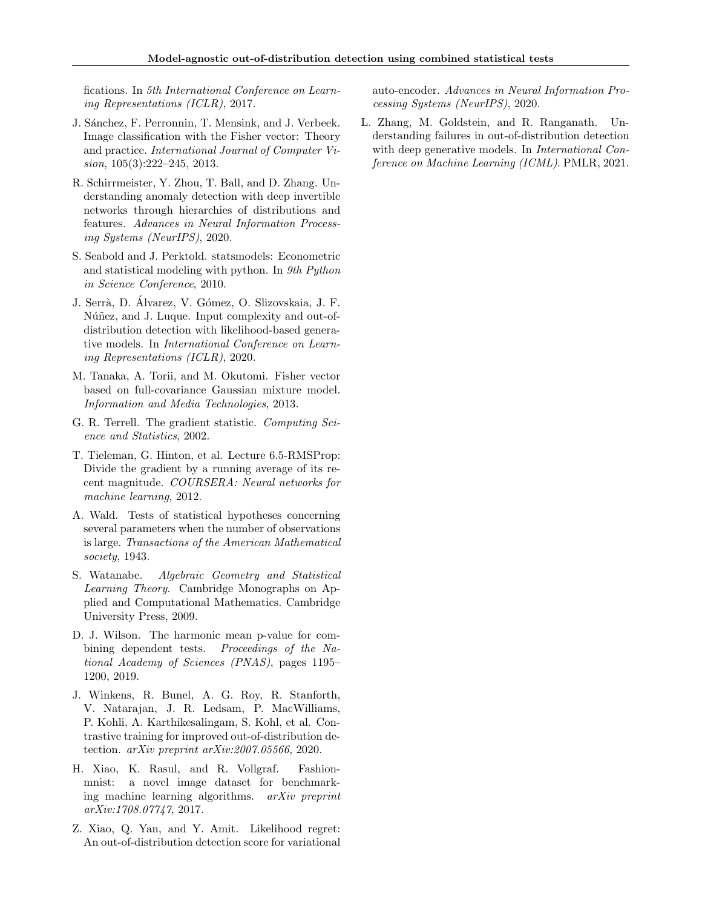fications. In 5th International Conference on Learning Representations (ICLR), 2017.

- <span id="page-11-12"></span>J. Sánchez, F. Perronnin, T. Mensink, and J. Verbeek. Image classification with the Fisher vector: Theory and practice. International Journal of Computer Vision, 105(3):222–245, 2013.
- <span id="page-11-4"></span>R. Schirrmeister, Y. Zhou, T. Ball, and D. Zhang. Understanding anomaly detection with deep invertible networks through hierarchies of distributions and features. Advances in Neural Information Processing Systems (NeurIPS), 2020.
- <span id="page-11-13"></span>S. Seabold and J. Perktold. statsmodels: Econometric and statistical modeling with python. In 9th Python in Science Conference, 2010.
- <span id="page-11-5"></span>J. Serrà, D. Álvarez, V. Gómez, O. Slizovskaia, J. F. Núñez, and J. Luque. Input complexity and out-ofdistribution detection with likelihood-based generative models. In International Conference on Learning Representations (ICLR), 2020.
- <span id="page-11-11"></span>M. Tanaka, A. Torii, and M. Okutomi. Fisher vector based on full-covariance Gaussian mixture model. Information and Media Technologies, 2013.
- <span id="page-11-2"></span>G. R. Terrell. The gradient statistic. Computing Science and Statistics, 2002.
- <span id="page-11-10"></span>T. Tieleman, G. Hinton, et al. Lecture 6.5-RMSProp: Divide the gradient by a running average of its recent magnitude. COURSERA: Neural networks for machine learning, 2012.
- <span id="page-11-1"></span>A. Wald. Tests of statistical hypotheses concerning several parameters when the number of observations is large. Transactions of the American Mathematical society, 1943.
- <span id="page-11-7"></span>S. Watanabe. Algebraic Geometry and Statistical Learning Theory. Cambridge Monographs on Applied and Computational Mathematics. Cambridge University Press, 2009.
- <span id="page-11-6"></span>D. J. Wilson. The harmonic mean p-value for combining dependent tests. Proceedings of the National Academy of Sciences (PNAS), pages 1195– 1200, 2019.
- <span id="page-11-9"></span>J. Winkens, R. Bunel, A. G. Roy, R. Stanforth, V. Natarajan, J. R. Ledsam, P. MacWilliams, P. Kohli, A. Karthikesalingam, S. Kohl, et al. Contrastive training for improved out-of-distribution detection. arXiv preprint arXiv:2007.05566, 2020.
- <span id="page-11-8"></span>H. Xiao, K. Rasul, and R. Vollgraf. Fashionmnist: a novel image dataset for benchmarking machine learning algorithms. arXiv preprint arXiv:1708.07747, 2017.
- <span id="page-11-3"></span>Z. Xiao, Q. Yan, and Y. Amit. Likelihood regret: An out-of-distribution detection score for variational

auto-encoder. Advances in Neural Information Processing Systems (NeurIPS), 2020.

<span id="page-11-0"></span>L. Zhang, M. Goldstein, and R. Ranganath. Understanding failures in out-of-distribution detection with deep generative models. In *International Con*ference on Machine Learning (ICML). PMLR, 2021.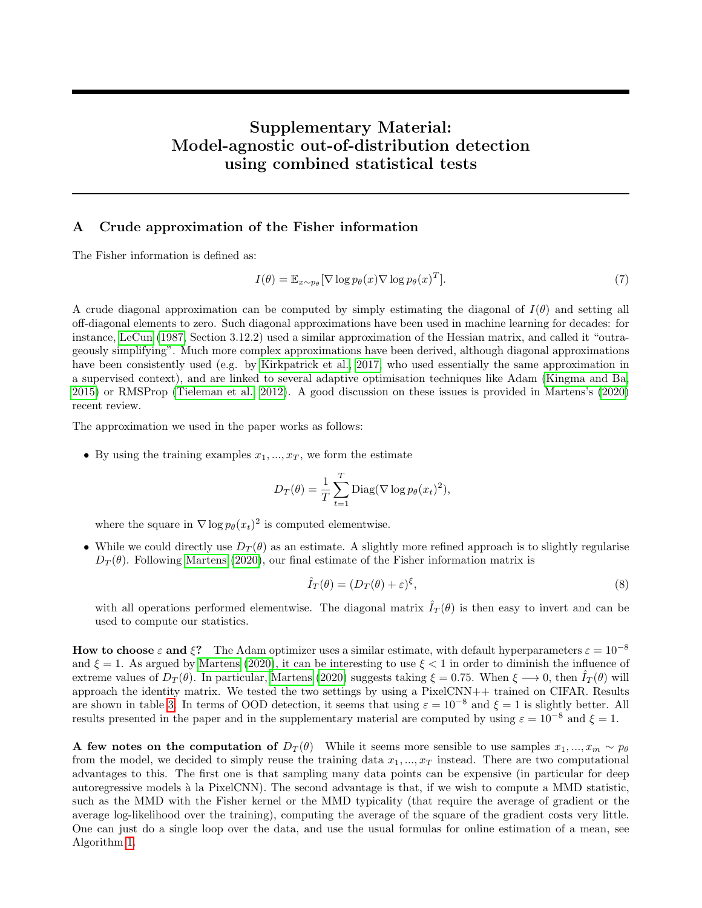# Supplementary Material: Model-agnostic out-of-distribution detection using combined statistical tests

## <span id="page-12-0"></span>A Crude approximation of the Fisher information

The Fisher information is defined as:

$$
I(\theta) = \mathbb{E}_{x \sim p_{\theta}}[\nabla \log p_{\theta}(x) \nabla \log p_{\theta}(x)^{T}].
$$
\n(7)

A crude diagonal approximation can be computed by simply estimating the diagonal of  $I(\theta)$  and setting all off-diagonal elements to zero. Such diagonal approximations have been used in machine learning for decades: for instance, [LeCun](#page-10-23) [\(1987,](#page-10-23) Section 3.12.2) used a similar approximation of the Hessian matrix, and called it "outrageously simplifying". Much more complex approximations have been derived, although diagonal approximations have been consistently used (e.g. by [Kirkpatrick et al., 2017,](#page-9-21) who used essentially the same approximation in a supervised context), and are linked to several adaptive optimisation techniques like Adam [\(Kingma and Ba,](#page-9-22) [2015\)](#page-9-22) or RMSProp [\(Tieleman et al., 2012\)](#page-11-10). A good discussion on these issues is provided in Martens's [\(2020\)](#page-10-24) recent review.

The approximation we used in the paper works as follows:

• By using the training examples  $x_1, \ldots, x_T$ , we form the estimate

$$
D_T(\theta) = \frac{1}{T} \sum_{t=1}^T \text{Diag}(\nabla \log p_\theta(x_t)^2),
$$

where the square in  $\nabla \log p_{\theta}(x_t)^2$  is computed elementwise.

• While we could directly use  $D_T(\theta)$  as an estimate. A slightly more refined approach is to slightly regularise  $D_T(\theta)$ . Following [Martens](#page-10-24) [\(2020\)](#page-10-24), our final estimate of the Fisher information matrix is

$$
\hat{I}_T(\theta) = (D_T(\theta) + \varepsilon)^{\xi},\tag{8}
$$

with all operations performed elementwise. The diagonal matrix  $\hat{I}_T(\theta)$  is then easy to invert and can be used to compute our statistics.

How to choose  $\varepsilon$  and  $\xi$ ? The Adam optimizer uses a similar estimate, with default hyperparameters  $\varepsilon = 10^{-8}$ and  $\xi = 1$ . As argued by [Martens](#page-10-24) [\(2020\)](#page-10-24), it can be interesting to use  $\xi < 1$  in order to diminish the influence of extreme values of  $D_T(\theta)$ . In particular, [Martens](#page-10-24) [\(2020\)](#page-10-24) suggests taking  $\xi = 0.75$ . When  $\xi \rightarrow 0$ , then  $I_T(\theta)$  will approach the identity matrix. We tested the two settings by using a PixelCNN++ trained on CIFAR. Results are shown in table [3.](#page-13-1) In terms of OOD detection, it seems that using  $\varepsilon = 10^{-8}$  and  $\xi = 1$  is slightly better. All results presented in the paper and in the supplementary material are computed by using  $\varepsilon = 10^{-8}$  and  $\xi = 1$ .

A few notes on the computation of  $D_T(\theta)$  While it seems more sensible to use samples  $x_1, ..., x_m \sim p_\theta$ from the model, we decided to simply reuse the training data  $x_1, ..., x_T$  instead. There are two computational advantages to this. The first one is that sampling many data points can be expensive (in particular for deep autoregressive models à la PixelCNN). The second advantage is that, if we wish to compute a MMD statistic, such as the MMD with the Fisher kernel or the MMD typicality (that require the average of gradient or the average log-likelihood over the training), computing the average of the square of the gradient costs very little. One can just do a single loop over the data, and use the usual formulas for online estimation of a mean, see Algorithm [1.](#page-23-0)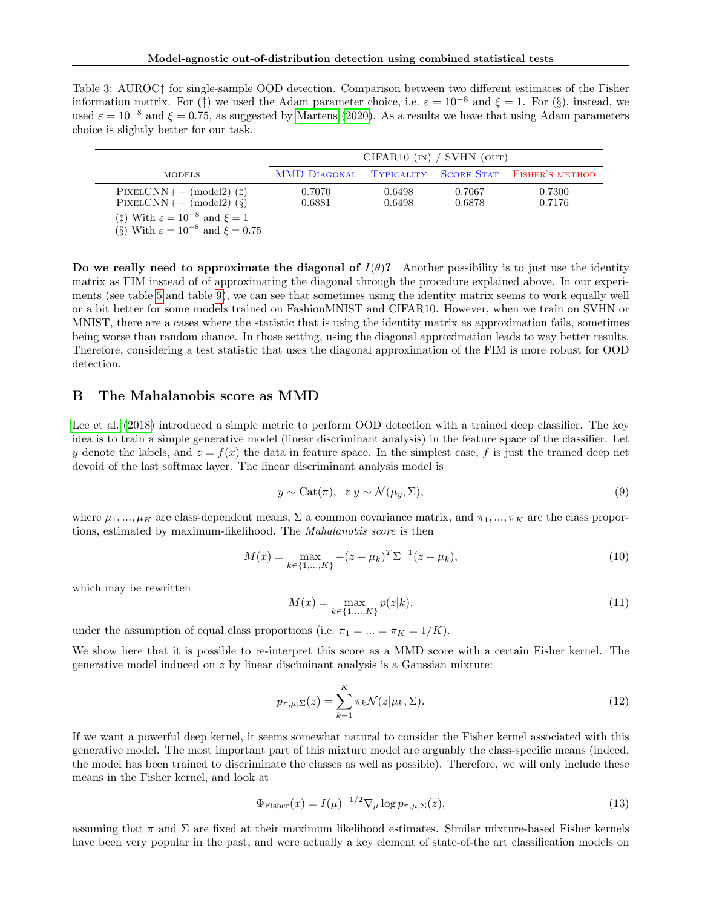<span id="page-13-1"></span>

| Table 3: AUROC <sup><math>\uparrow</math></sup> for single-sample OOD detection. Comparison between two different estimates of the Fisher |
|-------------------------------------------------------------------------------------------------------------------------------------------|
| information matrix. For (†) we used the Adam parameter choice, i.e. $\varepsilon = 10^{-8}$ and $\xi = 1$ . For (§), instead, we          |
| used $\varepsilon = 10^{-8}$ and $\xi = 0.75$ , as suggested by Martens (2020). As a results we have that using Adam parameters           |
| choice is slightly better for our task.                                                                                                   |

|                                                                 | CIFAR10 $(\text{IN})$ / SVHN $(\text{OUT})$ |                  |                  |                                                    |  |  |  |  |
|-----------------------------------------------------------------|---------------------------------------------|------------------|------------------|----------------------------------------------------|--|--|--|--|
| <b>MODELS</b>                                                   |                                             |                  |                  | MMD DIAGONAL TYPICALITY SCORE STAT FISHER'S METHOD |  |  |  |  |
| $PIXELCNN++ (model2)$ (‡)<br>$PIXELCNN++ (model2)$ $(\hat{\S})$ | 0.7070<br>0.6881                            | 0.6498<br>0.6498 | 0.7067<br>0.6878 | 0.7300<br>0.7176                                   |  |  |  |  |
| (†) With $\varepsilon = 10^{-8}$ and $\xi = 1$                  |                                             |                  |                  |                                                    |  |  |  |  |

(§) With  $\varepsilon = 10^{-8}$  and  $\xi = 0.75$ 

Do we really need to approximate the diagonal of  $I(\theta)$ ? Another possibility is to just use the identity matrix as FIM instead of of approximating the diagonal through the procedure explained above. In our experiments (see table [5](#page-17-2) and table [9\)](#page-19-0), we can see that sometimes using the identity matrix seems to work equally well or a bit better for some models trained on FashionMNIST and CIFAR10. However, when we train on SVHN or MNIST, there are a cases where the statistic that is using the identity matrix as approximation fails, sometimes being worse than random chance. In those setting, using the diagonal approximation leads to way better results. Therefore, considering a test statistic that uses the diagonal approximation of the FIM is more robust for OOD detection.

## <span id="page-13-0"></span>B The Mahalanobis score as MMD

[Lee et al.](#page-10-9) [\(2018\)](#page-10-9) introduced a simple metric to perform OOD detection with a trained deep classifier. The key idea is to train a simple generative model (linear discriminant analysis) in the feature space of the classifier. Let y denote the labels, and  $z = f(x)$  the data in feature space. In the simplest case, f is just the trained deep net devoid of the last softmax layer. The linear discriminant analysis model is

$$
y \sim \text{Cat}(\pi), \ z|y \sim \mathcal{N}(\mu_y, \Sigma), \tag{9}
$$

where  $\mu_1, ..., \mu_K$  are class-dependent means,  $\Sigma$  a common covariance matrix, and  $\pi_1, ..., \pi_K$  are the class proportions, estimated by maximum-likelihood. The Mahalanobis score is then

$$
M(x) = \max_{k \in \{1, ..., K\}} -(z - \mu_k)^T \Sigma^{-1} (z - \mu_k),
$$
\n(10)

which may be rewritten

$$
M(x) = \max_{k \in \{1, ..., K\}} p(z|k),\tag{11}
$$

under the assumption of equal class proportions (i.e.  $\pi_1 = ... = \pi_K = 1/K$ ).

We show here that it is possible to re-interpret this score as a MMD score with a certain Fisher kernel. The generative model induced on z by linear disciminant analysis is a Gaussian mixture:

$$
p_{\pi,\mu,\Sigma}(z) = \sum_{k=1}^{K} \pi_k \mathcal{N}(z|\mu_k,\Sigma). \tag{12}
$$

If we want a powerful deep kernel, it seems somewhat natural to consider the Fisher kernel associated with this generative model. The most important part of this mixture model are arguably the class-specific means (indeed, the model has been trained to discriminate the classes as well as possible). Therefore, we will only include these means in the Fisher kernel, and look at

$$
\Phi_{\text{Fisher}}(x) = I(\mu)^{-1/2} \nabla_{\mu} \log p_{\pi, \mu, \Sigma}(z),\tag{13}
$$

assuming that  $\pi$  and  $\Sigma$  are fixed at their maximum likelihood estimates. Similar mixture-based Fisher kernels have been very popular in the past, and were actually a key element of state-of-the art classification models on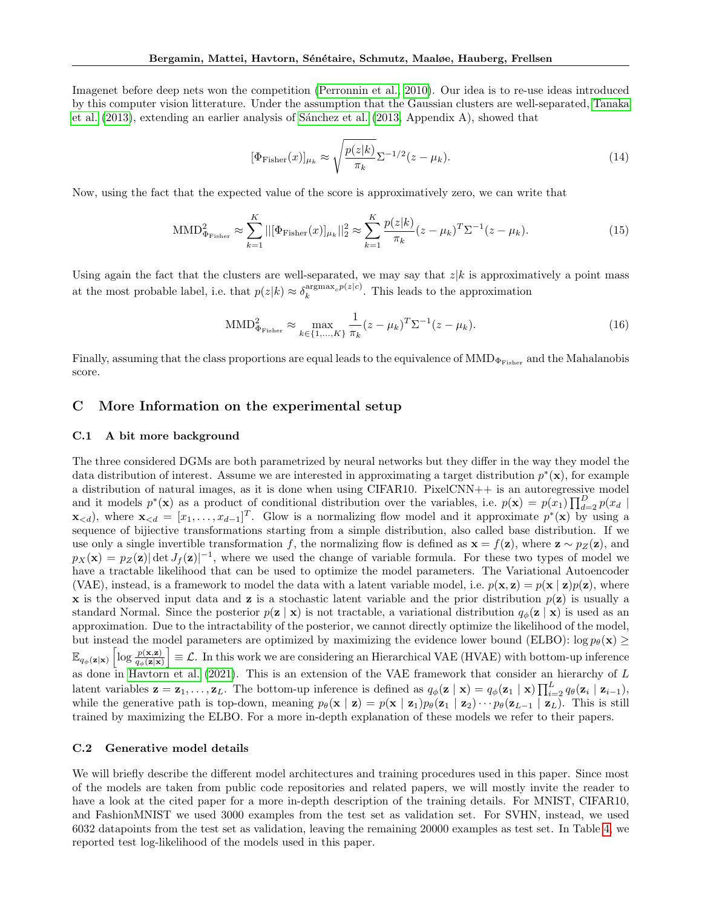Imagenet before deep nets won the competition [\(Perronnin et al., 2010\)](#page-10-25). Our idea is to re-use ideas introduced by this computer vision litterature. Under the assumption that the Gaussian clusters are well-separated, [Tanaka](#page-11-11) [et al.](#page-11-11)  $(2013)$ , extending an earlier analysis of Sánchez et al.  $(2013,$  Appendix A), showed that

$$
[\Phi_{\text{Fisher}}(x)]_{\mu_k} \approx \sqrt{\frac{p(z|k)}{\pi_k}} \Sigma^{-1/2} (z - \mu_k). \tag{14}
$$

Now, using the fact that the expected value of the score is approximatively zero, we can write that

$$
\text{MMD}_{\Phi_{\text{Fisher}}}^2 \approx \sum_{k=1}^K ||[\Phi_{\text{Fisher}}(x)]_{\mu_k}||_2^2 \approx \sum_{k=1}^K \frac{p(z|k)}{\pi_k} (z - \mu_k)^T \Sigma^{-1} (z - \mu_k). \tag{15}
$$

Using again the fact that the clusters are well-separated, we may say that  $z|k$  is approximatively a point mass at the most probable label, i.e. that  $p(z|k) \approx \delta_k^{\text{argmax}_c p(z|c)}$ . This leads to the approximation

$$
\text{MMD}_{\Phi_{\text{Fisher}}}^2 \approx \max_{k \in \{1, ..., K\}} \frac{1}{\pi_k} (z - \mu_k)^T \Sigma^{-1} (z - \mu_k). \tag{16}
$$

Finally, assuming that the class proportions are equal leads to the equivalence of  $\text{MMD}_{\Phi_{\text{Fisher}}}$  and the Mahalanobis score.

## C More Information on the experimental setup

#### C.1 A bit more background

The three considered DGMs are both parametrized by neural networks but they differ in the way they model the data distribution of interest. Assume we are interested in approximating a target distribution  $p^*(\mathbf{x})$ , for example a distribution of natural images, as it is done when using CIFAR10. PixelCNN++ is an autoregressive model and it models  $p^*(\mathbf{x})$  as a product of conditional distribution over the variables, i.e.  $p(\mathbf{x}) = p(x_1) \prod_{d=2}^D p(x_d)$  $\mathbf{x}_{\le d}$ , where  $\mathbf{x}_{\le d} = [x_1, \ldots, x_{d-1}]^T$ . Glow is a normalizing flow model and it approximate  $p^*(\mathbf{x})$  by using a sequence of bijiective transformations starting from a simple distribution, also called base distribution. If we use only a single invertible transformation f, the normalizing flow is defined as  $\mathbf{x} = f(\mathbf{z})$ , where  $\mathbf{z} \sim p_Z(\mathbf{z})$ , and  $p_X(\mathbf{x}) = p_Z(\mathbf{z}) |\det J_f(\mathbf{z})|^{-1}$ , where we used the change of variable formula. For these two types of model we have a tractable likelihood that can be used to optimize the model parameters. The Variational Autoencoder (VAE), instead, is a framework to model the data with a latent variable model, i.e.  $p(\mathbf{x}, \mathbf{z}) = p(\mathbf{x} | \mathbf{z}) p(\mathbf{z})$ , where **x** is the observed input data and **z** is a stochastic latent variable and the prior distribution  $p(z)$  is usually a standard Normal. Since the posterior  $p(z | x)$  is not tractable, a variational distribution  $q_{\phi}(z | x)$  is used as an approximation. Due to the intractability of the posterior, we cannot directly optimize the likelihood of the model, but instead the model parameters are optimized by maximizing the evidence lower bound (ELBO): log  $p_{\theta}(\mathbf{x}) \geq$  $\mathbb{E}_{q_{\phi}(\mathbf{z}|\mathbf{x})}\left[\log \frac{p(\mathbf{x},\mathbf{z})}{q_{\phi}(\mathbf{z}|\mathbf{x})}\right] \equiv \mathcal{L}$ . In this work we are considering an Hierarchical VAE (HVAE) with bottom-up inference as done in [Havtorn et al.](#page-9-15) [\(2021\)](#page-9-15). This is an extension of the VAE framework that consider an hierarchy of  $L$ latent variables  $\mathbf{z} = \mathbf{z}_1, \ldots, \mathbf{z}_L$ . The bottom-up inference is defined as  $q_{\phi}(\mathbf{z} \mid \mathbf{x}) = q_{\phi}(\mathbf{z}_1 \mid \mathbf{x}) \prod_{i=2}^L q_{\theta}(\mathbf{z}_i \mid \mathbf{z}_{i-1}),$ while the generative path is top-down, meaning  $p_{\theta}(\mathbf{x} \mid \mathbf{z}) = p(\mathbf{x} \mid \mathbf{z}_1)p_{\theta}(\mathbf{z}_1 \mid \mathbf{z}_2) \cdots p_{\theta}(\mathbf{z}_{L-1} \mid \mathbf{z}_L)$ . This is still trained by maximizing the ELBO. For a more in-depth explanation of these models we refer to their papers.

#### C.2 Generative model details

We will briefly describe the different model architectures and training procedures used in this paper. Since most of the models are taken from public code repositories and related papers, we will mostly invite the reader to have a look at the cited paper for a more in-depth description of the training details. For MNIST, CIFAR10, and FashionMNIST we used 3000 examples from the test set as validation set. For SVHN, instead, we used 6032 datapoints from the test set as validation, leaving the remaining 20000 examples as test set. In Table [4,](#page-15-1) we reported test log-likelihood of the models used in this paper.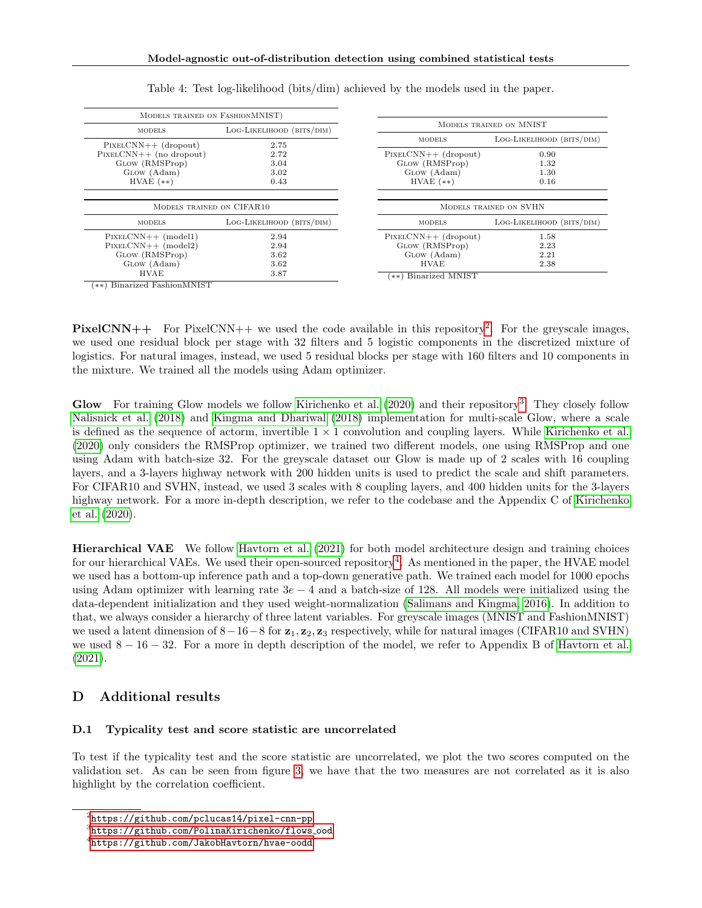<span id="page-15-1"></span>

| MODELS TRAINED ON FASHIONMNIST)                     |                           |                        |                           |
|-----------------------------------------------------|---------------------------|------------------------|---------------------------|
| <b>MODELS</b>                                       | LOG-LIKELIHOOD (BITS/DIM) |                        | MODELS TRAINED ON MNIST   |
|                                                     | 2.75                      | <b>MODELS</b>          | LOG-LIKELIHOOD (BITS/DIM) |
| $PIXELCNN++ (dropout)$<br>$PIXELCNN++$ (no dropout) | 2.72                      | $PIXELCNN++ (dropout)$ | 0.90                      |
| GLOW (RMSProp)                                      | 3.04                      | GLOW (RMSProp)         | 1.32                      |
| GLOW (Adam)                                         | 3.02                      | GLOW (Adam)            | 1.30                      |
| $HVAE$ $(**)$                                       | 0.43                      | $HVAE$ $(**)$          | 0.16                      |
|                                                     |                           |                        |                           |
| MODELS TRAINED ON CIFAR10                           |                           |                        | MODELS TRAINED ON SVHN    |
| <b>MODELS</b>                                       | LOG-LIKELIHOOD (BITS/DIM) | <b>MODELS</b>          | LOG-LIKELIHOOD (BITS/DIM) |
| $PIXELCNN++ (model1)$                               | 2.94                      | $PIXELCNN++ (dropout)$ | 1.58                      |
| $PIXELCNN++ (model2)$                               | 2.94                      | GLOW (RMSProp)         | 2.23                      |
| GLOW (RMSProp)                                      | 3.62                      | GLOW (Adam)            | 2.21                      |
| GLOW (Adam)                                         | 3.62                      | <b>HVAE</b>            | 2.38                      |
| <b>HVAE</b>                                         | 3.87                      | (**) Binarized MNIST   |                           |
| (**) Binarized FashionMNIST                         |                           |                        |                           |

Table 4: Test log-likelihood (bits/dim) achieved by the models used in the paper.

**PixelCNN++** For PixelCNN++ we used the code available in this repository<sup>[2](#page-15-2)</sup>. For the greyscale images, we used one residual block per stage with 32 filters and 5 logistic components in the discretized mixture of logistics. For natural images, instead, we used 5 residual blocks per stage with 160 filters and 10 components in

Glow For training Glow models we follow [Kirichenko et al.](#page-9-14) [\(2020\)](#page-9-14) and their repository<sup>[3](#page-15-3)</sup>. They closely follow [Nalisnick et al.](#page-10-0) [\(2018\)](#page-10-0) and [Kingma and Dhariwal](#page-9-17) [\(2018\)](#page-9-17) implementation for multi-scale Glow, where a scale is defined as the sequence of actorm, invertible  $1 \times 1$  convolution and coupling layers. While [Kirichenko et al.](#page-9-14) [\(2020\)](#page-9-14) only considers the RMSProp optimizer, we trained two different models, one using RMSProp and one using Adam with batch-size 32. For the greyscale dataset our Glow is made up of 2 scales with 16 coupling layers, and a 3-layers highway network with 200 hidden units is used to predict the scale and shift parameters. For CIFAR10 and SVHN, instead, we used 3 scales with 8 coupling layers, and 400 hidden units for the 3-layers highway network. For a more in-depth description, we refer to the codebase and the Appendix C of [Kirichenko](#page-9-14) [et al.](#page-9-14) [\(2020\)](#page-9-14).

Hierarchical VAE We follow [Havtorn et al.](#page-9-15) [\(2021\)](#page-9-15) for both model architecture design and training choices for our hierarchical VAEs. We used their open-sourced repository<sup>[4](#page-15-4)</sup>. As mentioned in the paper, the HVAE model we used has a bottom-up inference path and a top-down generative path. We trained each model for 1000 epochs using Adam optimizer with learning rate  $3e - 4$  and a batch-size of 128. All models were initialized using the data-dependent initialization and they used weight-normalization [\(Salimans and Kingma, 2016\)](#page-10-26). In addition to that, we always consider a hierarchy of three latent variables. For greyscale images (MNIST and FashionMNIST) we used a latent dimension of  $8-16-8$  for  $z_1, z_2, z_3$  respectively, while for natural images (CIFAR10 and SVHN) we used  $8 - 16 - 32$ . For a more in depth description of the model, we refer to Appendix B of [Havtorn et al.](#page-9-15) [\(2021\)](#page-9-15).

# D Additional results

#### <span id="page-15-0"></span>D.1 Typicality test and score statistic are uncorrelated

the mixture. We trained all the models using Adam optimizer.

To test if the typicality test and the score statistic are uncorrelated, we plot the two scores computed on the validation set. As can be seen from figure [3,](#page-16-1) we have that the two measures are not correlated as it is also highlight by the correlation coefficient.

<span id="page-15-2"></span> $^{2}$ [https://github.com/pclucas14/pixel-cnn-pp](#page-0-0)

<span id="page-15-3"></span><sup>3&</sup>lt;br>[https://github.com/PolinaKirichenko/flows](#page-0-0)\_ood

<span id="page-15-4"></span><sup>4</sup> [https://github.com/JakobHavtorn/hvae-oodd](#page-0-0)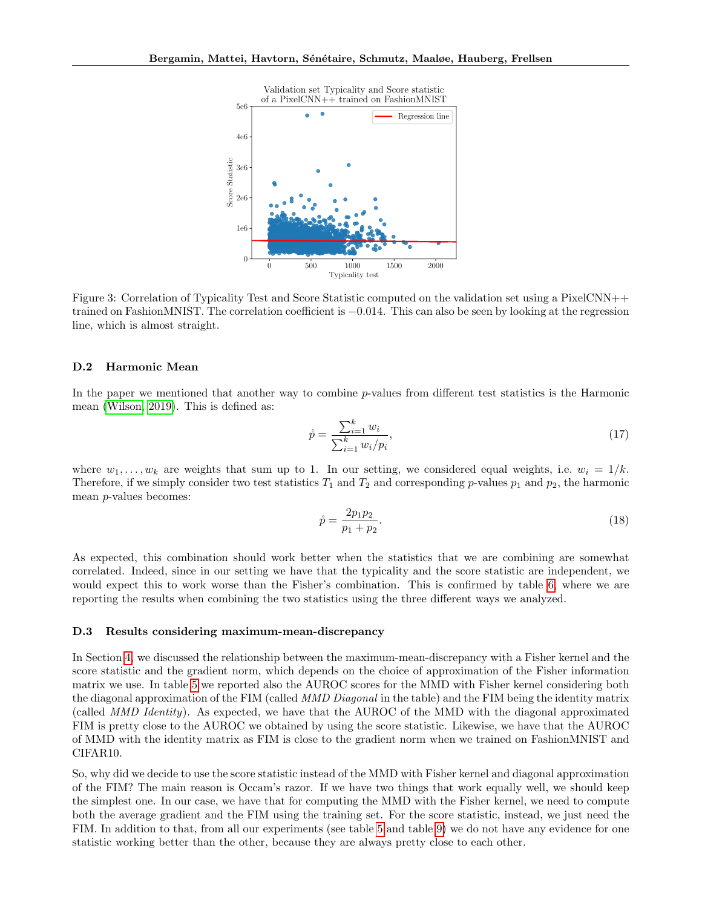<span id="page-16-1"></span>

Figure 3: Correlation of Typicality Test and Score Statistic computed on the validation set using a PixelCNN++ trained on FashionMNIST. The correlation coefficient is −0.014. This can also be seen by looking at the regression line, which is almost straight.

#### <span id="page-16-0"></span>D.2 Harmonic Mean

In the paper we mentioned that another way to combine p-values from different test statistics is the Harmonic mean [\(Wilson, 2019\)](#page-11-6). This is defined as:

$$
\mathring{p} = \frac{\sum_{i=1}^{k} w_i}{\sum_{i=1}^{k} w_i / p_i},\tag{17}
$$

where  $w_1, \ldots, w_k$  are weights that sum up to 1. In our setting, we considered equal weights, i.e.  $w_i = 1/k$ . Therefore, if we simply consider two test statistics  $T_1$  and  $T_2$  and corresponding p-values  $p_1$  and  $p_2$ , the harmonic mean p-values becomes:

$$
\mathring{p} = \frac{2p_1p_2}{p_1 + p_2}.\tag{18}
$$

As expected, this combination should work better when the statistics that we are combining are somewhat correlated. Indeed, since in our setting we have that the typicality and the score statistic are independent, we would expect this to work worse than the Fisher's combination. This is confirmed by table [6,](#page-17-3) where we are reporting the results when combining the two statistics using the three different ways we analyzed.

#### D.3 Results considering maximum-mean-discrepancy

In Section [4,](#page-3-0) we discussed the relationship between the maximum-mean-discrepancy with a Fisher kernel and the score statistic and the gradient norm, which depends on the choice of approximation of the Fisher information matrix we use. In table [5](#page-17-2) we reported also the AUROC scores for the MMD with Fisher kernel considering both the diagonal approximation of the FIM (called *MMD Diagonal* in the table) and the FIM being the identity matrix (called MMD Identity). As expected, we have that the AUROC of the MMD with the diagonal approximated FIM is pretty close to the AUROC we obtained by using the score statistic. Likewise, we have that the AUROC of MMD with the identity matrix as FIM is close to the gradient norm when we trained on FashionMNIST and CIFAR10.

So, why did we decide to use the score statistic instead of the MMD with Fisher kernel and diagonal approximation of the FIM? The main reason is Occam's razor. If we have two things that work equally well, we should keep the simplest one. In our case, we have that for computing the MMD with the Fisher kernel, we need to compute both the average gradient and the FIM using the training set. For the score statistic, instead, we just need the FIM. In addition to that, from all our experiments (see table [5](#page-17-2) and table [9\)](#page-19-0) we do not have any evidence for one statistic working better than the other, because they are always pretty close to each other.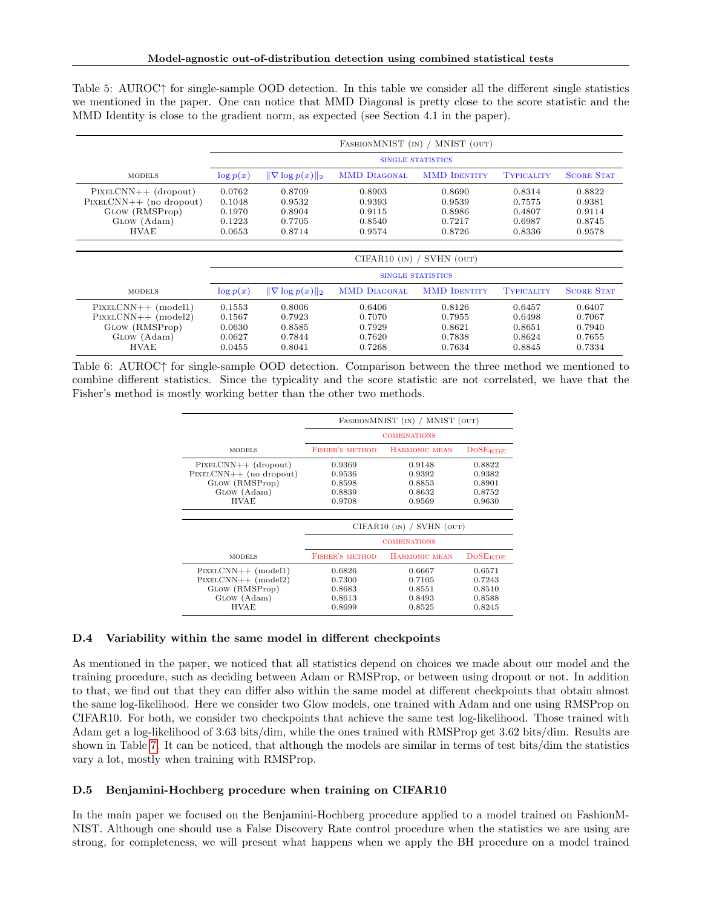<span id="page-17-2"></span>Table 5: AUROC↑ for single-sample OOD detection. In this table we consider all the different single statistics we mentioned in the paper. One can notice that MMD Diagonal is pretty close to the score statistic and the MMD Identity is close to the gradient norm, as expected (see Section 4.1 in the paper).

|                                                                                                     | FASHIONMNIST (IN) / MNIST (OUT)                |                                                |                                                |                                                |                                                |                                                |
|-----------------------------------------------------------------------------------------------------|------------------------------------------------|------------------------------------------------|------------------------------------------------|------------------------------------------------|------------------------------------------------|------------------------------------------------|
|                                                                                                     |                                                |                                                |                                                | <b>SINGLE STATISTICS</b>                       |                                                |                                                |
| <b>MODELS</b>                                                                                       | $\log p(x)$                                    | $\ \nabla \log p(x)\ _2$                       | <b>MMD DIAGONAL</b>                            | <b>MMD IDENTITY</b>                            | <b>TYPICALITY</b>                              | <b>SCORE STAT</b>                              |
| $PIXELCNN++ (dropout)$<br>$PIXELCNN++ (no dropout)$<br>GLOW (RMSProp)<br>GLOW (Adam)<br><b>HVAE</b> | 0.0762<br>0.1048<br>0.1970<br>0.1223<br>0.0653 | 0.8709<br>0.9532<br>0.8904<br>0.7705<br>0.8714 | 0.8903<br>0.9393<br>0.9115<br>0.8540<br>0.9574 | 0.8690<br>0.9539<br>0.8986<br>0.7217<br>0.8726 | 0.8314<br>0.7575<br>0.4807<br>0.6987<br>0.8336 | 0.8822<br>0.9381<br>0.9114<br>0.8745<br>0.9578 |
|                                                                                                     |                                                |                                                |                                                | $CIFAR10$ (IN) / SVHN (OUT)                    |                                                |                                                |
|                                                                                                     |                                                |                                                |                                                | <b>SINGLE STATISTICS</b>                       |                                                |                                                |
| <b>MODELS</b>                                                                                       | $\log p(x)$                                    | $\ \nabla \log p(x)\ _2$                       | <b>MMD DIAGONAL</b>                            | <b>MMD IDENTITY</b>                            | <b>TYPICALITY</b>                              | <b>SCORE STAT</b>                              |
| $PIXELCNN++ (model1)$<br>$PIXELCNN++ (model2)$<br>GLOW (RMSProp)<br>GLOW (Adam)<br><b>HVAE</b>      | 0.1553<br>0.1567<br>0.0630<br>0.0627<br>0.0455 | 0.8006<br>0.7923<br>0.8585<br>0.7844<br>0.8041 | 0.6406<br>0.7070<br>0.7929<br>0.7620<br>0.7268 | 0.8126<br>0.7955<br>0.8621<br>0.7838<br>0.7634 | 0.6457<br>0.6498<br>0.8651<br>0.8624<br>0.8845 | 0.6407<br>0.7067<br>0.7940<br>0.7655<br>0.7334 |

<span id="page-17-3"></span>Table 6: AUROC↑ for single-sample OOD detection. Comparison between the three method we mentioned to combine different statistics. Since the typicality and the score statistic are not correlated, we have that the Fisher's method is mostly working better than the other two methods.

|                           | FASHIONMNIST (IN) / MNIST (OUT) |                             |                       |  |  |  |  |
|---------------------------|---------------------------------|-----------------------------|-----------------------|--|--|--|--|
|                           | <b>COMBINATIONS</b>             |                             |                       |  |  |  |  |
| <b>MODELS</b>             | <b>FISHER'S METHOD</b>          | HARMONIC MEAN               | DoSE <sub>KDE</sub>   |  |  |  |  |
| $PIXELCNN++ (dropout)$    | 0.9369                          | 0.9148                      | 0.8822                |  |  |  |  |
| $PIXELCNN++$ (no dropout) | 0.9536                          | 0.9392                      | 0.9382                |  |  |  |  |
| GLOW (RMSProp)            | 0.8598                          | 0.8853                      | 0.8901                |  |  |  |  |
| GLOW (Adam)               | 0.8839                          | 0.8632                      | 0.8752                |  |  |  |  |
| <b>HVAE</b>               | 0.9708                          | 0.9569                      | 0.9630                |  |  |  |  |
|                           |                                 |                             |                       |  |  |  |  |
|                           |                                 | $CIFAR10$ (IN) / SVHN (OUT) |                       |  |  |  |  |
|                           |                                 | <b>COMBINATIONS</b>         |                       |  |  |  |  |
| <b>MODELS</b>             | <b>FISHER'S METHOD</b>          | <b>HARMONIC MEAN</b>        | $DoSE$ <sub>KDE</sub> |  |  |  |  |
| $PIXELCNN++ (model1)$     | 0.6826                          | 0.6667                      | 0.6571                |  |  |  |  |
| $PIXELCNN++ (model2)$     | 0.7300                          | 0.7105                      | 0.7243                |  |  |  |  |
| GLOW (RMSProp)            | 0.8683                          | 0.8551                      | 0.8510                |  |  |  |  |
| GLOW (Adam)               | 0.8613                          | 0.8493                      | 0.8588                |  |  |  |  |

#### <span id="page-17-0"></span>D.4 Variability within the same model in different checkpoints

As mentioned in the paper, we noticed that all statistics depend on choices we made about our model and the training procedure, such as deciding between Adam or RMSProp, or between using dropout or not. In addition to that, we find out that they can differ also within the same model at different checkpoints that obtain almost the same log-likelihood. Here we consider two Glow models, one trained with Adam and one using RMSProp on CIFAR10. For both, we consider two checkpoints that achieve the same test log-likelihood. Those trained with Adam get a log-likelihood of 3.63 bits/dim, while the ones trained with RMSProp get 3.62 bits/dim. Results are shown in Table [7.](#page-18-2) It can be noticed, that although the models are similar in terms of test bits/dim the statistics vary a lot, mostly when training with RMSProp.

 $\overline{HVAE}$  0.8699 0.8525 0.8245

#### <span id="page-17-1"></span>D.5 Benjamini-Hochberg procedure when training on CIFAR10

In the main paper we focused on the Benjamini-Hochberg procedure applied to a model trained on FashionM-NIST. Although one should use a False Discovery Rate control procedure when the statistics we are using are strong, for completeness, we will present what happens when we apply the BH procedure on a model trained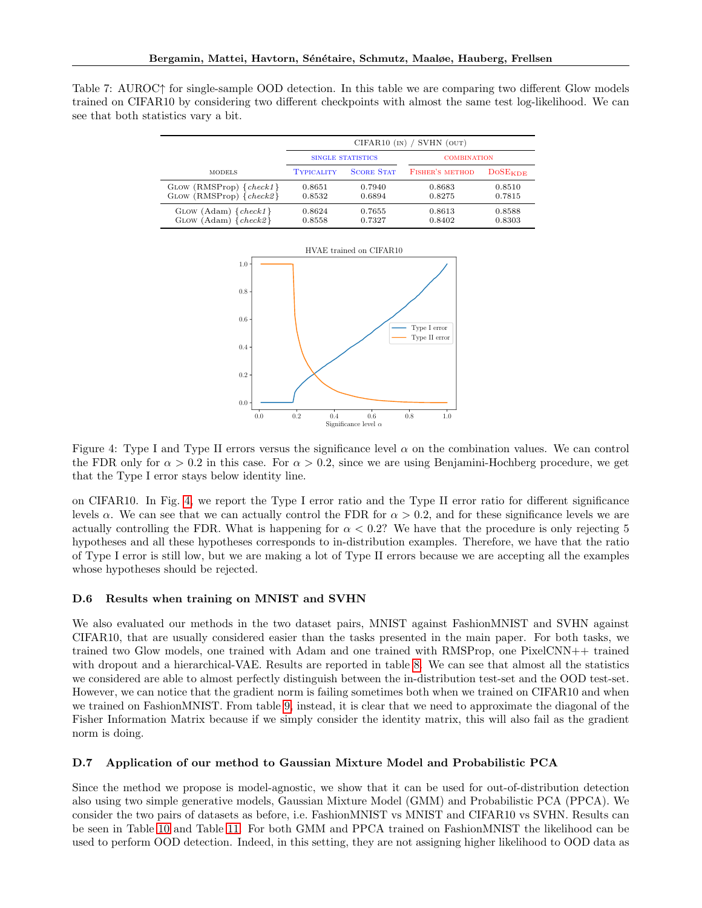<span id="page-18-2"></span>

|  | Table 7: AUROC <sup><math>\uparrow</math></sup> for single-sample OOD detection. In this table we are comparing two different Glow models |  |  |  |  |  |
|--|-------------------------------------------------------------------------------------------------------------------------------------------|--|--|--|--|--|
|  | trained on CIFAR10 by considering two different checkpoints with almost the same test log-likelihood. We can                              |  |  |  |  |  |
|  | see that both statistics vary a bit.                                                                                                      |  |  |  |  |  |

<span id="page-18-3"></span>

|                                                            | CIFAR10 $(N)$ / SVHN $(OUT)$ |                          |                        |                     |  |  |  |  |
|------------------------------------------------------------|------------------------------|--------------------------|------------------------|---------------------|--|--|--|--|
|                                                            |                              | <b>SINGLE STATISTICS</b> | <b>COMBINATION</b>     |                     |  |  |  |  |
| <b>MODELS</b>                                              | <b>TYPICALITY</b>            | <b>SCORE STAT</b>        | <b>FISHER'S METHOD</b> | DoSE <sub>KDE</sub> |  |  |  |  |
| $GLOW (RMSProp) \{check1\}$<br>$GLOW (RMSProp) \{check2}\$ | 0.8651<br>0.8532             | 0.7940<br>0.6894         | 0.8683<br>0.8275       | 0.8510<br>0.7815    |  |  |  |  |
| GLOW $(Adam) \{check1\}$<br>$G$ LOW $(Adam)$ $\{check2\}$  | 0.8624<br>0.8558             | 0.7655<br>0.7327         | 0.8613<br>0.8402       | 0.8588<br>0.8303    |  |  |  |  |



Figure 4: Type I and Type II errors versus the significance level  $\alpha$  on the combination values. We can control the FDR only for  $\alpha > 0.2$  in this case. For  $\alpha > 0.2$ , since we are using Benjamini-Hochberg procedure, we get that the Type I error stays below identity line.

on CIFAR10. In Fig. [4,](#page-18-3) we report the Type I error ratio and the Type II error ratio for different significance levels  $\alpha$ . We can see that we can actually control the FDR for  $\alpha > 0.2$ , and for these significance levels we are actually controlling the FDR. What is happening for  $\alpha < 0.2$ ? We have that the procedure is only rejecting 5 hypotheses and all these hypotheses corresponds to in-distribution examples. Therefore, we have that the ratio of Type I error is still low, but we are making a lot of Type II errors because we are accepting all the examples whose hypotheses should be rejected.

#### <span id="page-18-0"></span>D.6 Results when training on MNIST and SVHN

We also evaluated our methods in the two dataset pairs, MNIST against FashionMNIST and SVHN against CIFAR10, that are usually considered easier than the tasks presented in the main paper. For both tasks, we trained two Glow models, one trained with Adam and one trained with RMSProp, one PixelCNN++ trained with dropout and a hierarchical-VAE. Results are reported in table [8.](#page-19-1) We can see that almost all the statistics we considered are able to almost perfectly distinguish between the in-distribution test-set and the OOD test-set. However, we can notice that the gradient norm is failing sometimes both when we trained on CIFAR10 and when we trained on FashionMNIST. From table [9,](#page-19-0) instead, it is clear that we need to approximate the diagonal of the Fisher Information Matrix because if we simply consider the identity matrix, this will also fail as the gradient norm is doing.

### <span id="page-18-1"></span>D.7 Application of our method to Gaussian Mixture Model and Probabilistic PCA

Since the method we propose is model-agnostic, we show that it can be used for out-of-distribution detection also using two simple generative models, Gaussian Mixture Model (GMM) and Probabilistic PCA (PPCA). We consider the two pairs of datasets as before, i.e. FashionMNIST vs MNIST and CIFAR10 vs SVHN. Results can be seen in Table [10](#page-20-1) and Table [11.](#page-20-2) For both GMM and PPCA trained on FashionMNIST the likelihood can be used to perform OOD detection. Indeed, in this setting, they are not assigning higher likelihood to OOD data as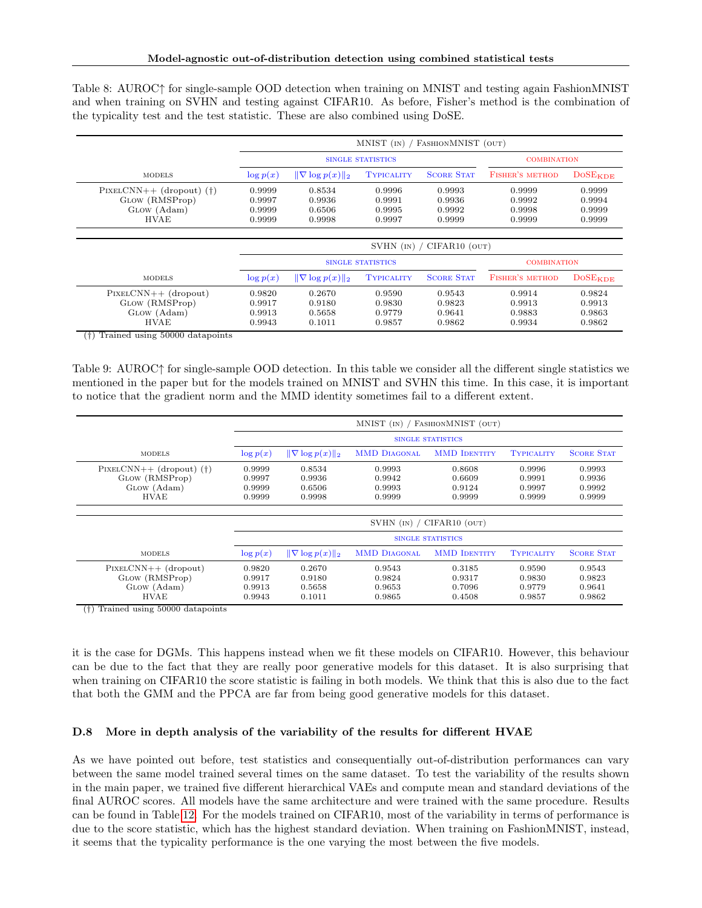<span id="page-19-1"></span>Table 8: AUROC↑ for single-sample OOD detection when training on MNIST and testing again FashionMNIST and when training on SVHN and testing against CIFAR10. As before, Fisher's method is the combination of the typicality test and the test statistic. These are also combined using DoSE.

|                                                                            |                                                                              | FASHIONMNIST (OUT)<br>$MNIST$ (IN) / |                                      |                                      |                                      |                                      |  |  |  |  |
|----------------------------------------------------------------------------|------------------------------------------------------------------------------|--------------------------------------|--------------------------------------|--------------------------------------|--------------------------------------|--------------------------------------|--|--|--|--|
|                                                                            |                                                                              |                                      | <b>SINGLE STATISTICS</b>             |                                      | <b>COMBINATION</b>                   |                                      |  |  |  |  |
| <b>MODELS</b>                                                              | $\log p(x)$                                                                  | $\ \nabla \log p(x)\ _2$             | <b>TYPICALITY</b>                    | <b>SCORE STAT</b>                    | <b>FISHER'S METHOD</b>               | DoSE <sub>KDE</sub>                  |  |  |  |  |
| $PIXELCNN++ (dropout)$ (†)<br>GLOW (RMSProp)<br>GLOW (Adam)<br><b>HVAE</b> | 0.8534<br>0.9999<br>0.9997<br>0.9936<br>0.9999<br>0.6506<br>0.9999<br>0.9998 |                                      | 0.9996<br>0.9991<br>0.9995<br>0.9997 | 0.9993<br>0.9936<br>0.9992<br>0.9999 | 0.9999<br>0.9992<br>0.9998<br>0.9999 | 0.9999<br>0.9994<br>0.9999<br>0.9999 |  |  |  |  |
|                                                                            |                                                                              |                                      | $SVHN$ (IN) /                        | CIFAR10 (OUT)                        |                                      |                                      |  |  |  |  |
|                                                                            |                                                                              |                                      | <b>SINGLE STATISTICS</b>             |                                      |                                      | <b>COMBINATION</b>                   |  |  |  |  |
| <b>MODELS</b>                                                              | $\log p(x)$                                                                  | $\ \nabla \log p(x)\ _2$             | <b>TYPICALITY</b>                    | <b>SCORE STAT</b>                    | FISHER'S METHOD                      | DoSE <sub>KDE</sub>                  |  |  |  |  |
| $PIXELCNN++ (dropout)$<br>GLOW (RMSProp)<br>GLOW (Adam)<br><b>HVAE</b>     | 0.9820<br>0.9917<br>0.9913<br>0.9943                                         | 0.2670<br>0.9180<br>0.5658<br>0.1011 | 0.9590<br>0.9830<br>0.9779<br>0.9857 | 0.9543<br>0.9823<br>0.9641<br>0.9862 | 0.9914<br>0.9913<br>0.9883<br>0.9934 | 0.9824<br>0.9913<br>0.9863<br>0.9862 |  |  |  |  |

(†) Trained using 50000 datapoints

<span id="page-19-0"></span>Table 9: AUROC↑ for single-sample OOD detection. In this table we consider all the different single statistics we mentioned in the paper but for the models trained on MNIST and SVHN this time. In this case, it is important to notice that the gradient norm and the MMD identity sometimes fail to a different extent.

|                                                                            | MNIST (IN) / FASHIONMNIST (OUT)                                              |                                      |                                      |                                                 |                                      |                                      |  |
|----------------------------------------------------------------------------|------------------------------------------------------------------------------|--------------------------------------|--------------------------------------|-------------------------------------------------|--------------------------------------|--------------------------------------|--|
|                                                                            |                                                                              |                                      |                                      | <b>SINGLE STATISTICS</b>                        |                                      |                                      |  |
| <b>MODELS</b>                                                              | $\log p(x)$                                                                  | $\ \nabla \log p(x)\ _2$             | <b>MMD DIAGONAL</b>                  | <b>MMD IDENTITY</b>                             | <b>TYPICALITY</b>                    | <b>SCORE STAT</b>                    |  |
| $PIXELCNN++ (dropout)$ (†)<br>GLOW (RMSProp)<br>GLOW (Adam)<br><b>HVAE</b> | 0.8534<br>0.9999<br>0.9997<br>0.9936<br>0.9999<br>0.6506<br>0.9999<br>0.9998 |                                      | 0.9993<br>0.9942<br>0.9993<br>0.9999 | 0.8608<br>0.6609<br>0.9124<br>0.9999            | 0.9996<br>0.9991<br>0.9997<br>0.9999 | 0.9993<br>0.9936<br>0.9992<br>0.9999 |  |
|                                                                            |                                                                              |                                      |                                      | SVHN $(n) / CIFAR10 (OUT)$                      |                                      |                                      |  |
| <b>MODELS</b>                                                              | $\log p(x)$                                                                  | $\ \nabla \log p(x)\ _2$             | <b>MMD DIAGONAL</b>                  | <b>SINGLE STATISTICS</b><br><b>MMD IDENTITY</b> | <b>TYPICALITY</b>                    | <b>SCORE STAT</b>                    |  |
| $PIXELCNN++ (dropout)$<br>GLOW (RMSProp)<br>GLOW (Adam)<br><b>HVAE</b>     | 0.9820<br>0.9917<br>0.9913<br>0.9943                                         | 0.2670<br>0.9180<br>0.5658<br>0.1011 | 0.9543<br>0.9824<br>0.9653<br>0.9865 | 0.3185<br>0.9317<br>0.7096<br>0.4508            | 0.9590<br>0.9830<br>0.9779<br>0.9857 | 0.9543<br>0.9823<br>0.9641<br>0.9862 |  |

(†) Trained using 50000 datapoints

it is the case for DGMs. This happens instead when we fit these models on CIFAR10. However, this behaviour can be due to the fact that they are really poor generative models for this dataset. It is also surprising that when training on CIFAR10 the score statistic is failing in both models. We think that this is also due to the fact that both the GMM and the PPCA are far from being good generative models for this dataset.

## D.8 More in depth analysis of the variability of the results for different HVAE

As we have pointed out before, test statistics and consequentially out-of-distribution performances can vary between the same model trained several times on the same dataset. To test the variability of the results shown in the main paper, we trained five different hierarchical VAEs and compute mean and standard deviations of the final AUROC scores. All models have the same architecture and were trained with the same procedure. Results can be found in Table [12.](#page-21-0) For the models trained on CIFAR10, most of the variability in terms of performance is due to the score statistic, which has the highest standard deviation. When training on FashionMNIST, instead, it seems that the typicality performance is the one varying the most between the five models.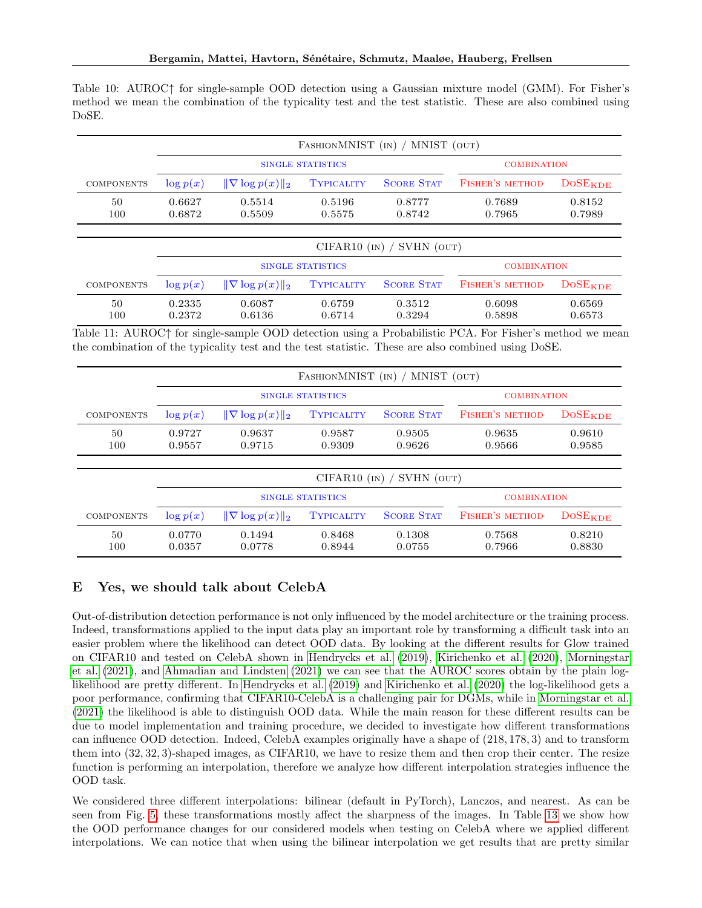<span id="page-20-1"></span>

|       | Table 10: AUROC† for single-sample OOD detection using a Gaussian mixture model (GMM). For Fisher's         |  |  |  |  |  |
|-------|-------------------------------------------------------------------------------------------------------------|--|--|--|--|--|
|       | method we mean the combination of the typicality test and the test statistic. These are also combined using |  |  |  |  |  |
| DoSE. |                                                                                                             |  |  |  |  |  |

|                   | MNIST (OUT)<br>FASHIONMNIST (IN)               |                          |                   |                   |                        |                                |  |  |
|-------------------|------------------------------------------------|--------------------------|-------------------|-------------------|------------------------|--------------------------------|--|--|
|                   |                                                |                          | SINGLE STATISTICS |                   | <b>COMBINATION</b>     |                                |  |  |
| <b>COMPONENTS</b> | $\log p(x)$                                    | $\ \nabla \log p(x)\ _2$ | TYPICALITY        | <b>SCORE STAT</b> | <b>FISHER'S METHOD</b> | <b>DOSEKDE</b>                 |  |  |
| 50<br>100         | 0.6627<br>0.6872                               | 0.5514<br>0.5509         | 0.5196<br>0.5575  | 0.8777<br>0.8742  | 0.7689<br>0.7965       | 0.8152<br>0.7989               |  |  |
|                   |                                                |                          | $CIFAR10$ (IN)    | SVHN (OUT)        |                        |                                |  |  |
|                   | <b>SINGLE STATISTICS</b><br><b>COMBINATION</b> |                          |                   |                   |                        |                                |  |  |
| <b>COMPONENTS</b> | $\log p(x)$                                    | $\ \nabla \log p(x)\ _2$ | TYPICALITY        | <b>SCORE STAT</b> | <b>FISHER'S METHOD</b> | $\textrm{DoSE}_{\textrm{KDE}}$ |  |  |
| 50<br>100         | 0.2335<br>0.2372                               | 0.6087<br>0.6136         | 0.6759<br>0.6714  | 0.3512<br>0.3294  | 0.6098<br>0.5898       | 0.6569<br>0.6573               |  |  |

<span id="page-20-2"></span>Table 11: AUROC↑ for single-sample OOD detection using a Probabilistic PCA. For Fisher's method we mean the combination of the typicality test and the test statistic. These are also combined using DoSE.

|                   | MNIST (OUT)<br>FASHIONMNIST (IN) |                          |                   |                   |                        |                           |  |  |
|-------------------|----------------------------------|--------------------------|-------------------|-------------------|------------------------|---------------------------|--|--|
|                   |                                  |                          | SINGLE STATISTICS |                   | <b>COMBINATION</b>     |                           |  |  |
| <b>COMPONENTS</b> | $\log p(x)$                      | $\ \nabla \log p(x)\ _2$ | <b>TYPICALITY</b> | <b>SCORE STAT</b> | <b>FISHER'S METHOD</b> | <b>DOSEKDE</b>            |  |  |
| 50<br>100         | 0.9727<br>0.9557                 | 0.9637<br>0.9715         | 0.9587<br>0.9309  | 0.9505<br>0.9626  | 0.9635<br>0.9566       | 0.9610<br>0.9585          |  |  |
|                   | SVHN (OUT)<br>$CIFAR10$ (IN)     |                          |                   |                   |                        |                           |  |  |
|                   |                                  | <b>COMBINATION</b>       |                   |                   |                        |                           |  |  |
| <b>COMPONENTS</b> | $\log p(x)$                      | $\ \nabla \log p(x)\ _2$ | TYPICALITY        | <b>SCORE STAT</b> | <b>FISHER'S METHOD</b> | <b>DOSE<sub>KDE</sub></b> |  |  |
| 50<br>100         | 0.0770<br>0.0357                 | 0.1494<br>0.0778         | 0.8468<br>0.8944  | 0.1308<br>0.0755  | 0.7568<br>0.7966       | 0.8210<br>0.8830          |  |  |

# <span id="page-20-0"></span>E Yes, we should talk about CelebA

Out-of-distribution detection performance is not only influenced by the model architecture or the training process. Indeed, transformations applied to the input data play an important role by transforming a difficult task into an easier problem where the likelihood can detect OOD data. By looking at the different results for Glow trained on CIFAR10 and tested on CelebA shown in [Hendrycks et al.](#page-9-1) [\(2019\)](#page-9-1), [Kirichenko et al.](#page-9-14) [\(2020\)](#page-9-14), [Morningstar](#page-10-11) [et al.](#page-10-11) [\(2021\)](#page-10-11), and [Ahmadian and Lindsten](#page-9-2) [\(2021\)](#page-9-2) we can see that the AUROC scores obtain by the plain loglikelihood are pretty different. In [Hendrycks et al.](#page-9-1) [\(2019\)](#page-9-1) and [Kirichenko et al.](#page-9-14) [\(2020\)](#page-9-14) the log-likelihood gets a poor performance, confirming that CIFAR10-CelebA is a challenging pair for DGMs, while in [Morningstar et al.](#page-10-11) [\(2021\)](#page-10-11) the likelihood is able to distinguish OOD data. While the main reason for these different results can be due to model implementation and training procedure, we decided to investigate how different transformations can influence OOD detection. Indeed, CelebA examples originally have a shape of (218, 178, 3) and to transform them into (32, 32, 3)-shaped images, as CIFAR10, we have to resize them and then crop their center. The resize function is performing an interpolation, therefore we analyze how different interpolation strategies influence the OOD task.

We considered three different interpolations: bilinear (default in PyTorch), Lanczos, and nearest. As can be seen from Fig. [5,](#page-21-1) these transformations mostly affect the sharpness of the images. In Table [13](#page-22-0) we show how the OOD performance changes for our considered models when testing on CelebA where we applied different interpolations. We can notice that when using the bilinear interpolation we get results that are pretty similar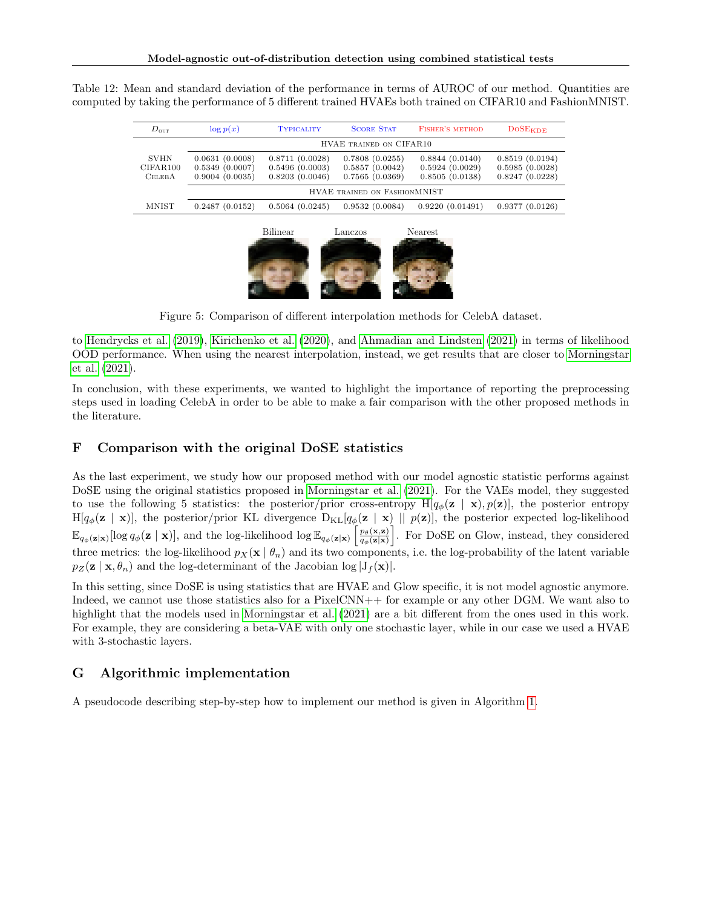<span id="page-21-0"></span>

|  |  |  |  |  | Table 12: Mean and standard deviation of the performance in terms of AUROC of our method. Quantities are  |
|--|--|--|--|--|-----------------------------------------------------------------------------------------------------------|
|  |  |  |  |  | computed by taking the performance of 5 different trained HVAEs both trained on CIFAR10 and FashionMNIST. |

| $D_{\text{out}}$                         | $\log p(x)$                                        | <b>TYPICALITY</b>                                  | <b>SCORE STAT</b>                                  | <b>FISHER'S METHOD</b>                             | $DoSE_{KDE}$                                       |
|------------------------------------------|----------------------------------------------------|----------------------------------------------------|----------------------------------------------------|----------------------------------------------------|----------------------------------------------------|
|                                          |                                                    |                                                    | HVAE TRAINED ON CIFAR10                            |                                                    |                                                    |
| <b>SVHN</b><br>CIFAR100<br><b>CELEBA</b> | 0.0631(0.0008)<br>0.5349(0.0007)<br>0.9004(0.0035) | 0.8711(0.0028)<br>0.5496(0.0003)<br>0.8203(0.0046) | 0.7808(0.0255)<br>0.5857(0.0042)<br>0.7565(0.0369) | 0.8844(0.0140)<br>0.5924(0.0029)<br>0.8505(0.0138) | 0.8519(0.0194)<br>0.5985(0.0028)<br>0.8247(0.0228) |
|                                          |                                                    |                                                    | HVAE TRAINED ON FASHIONMNIST                       |                                                    |                                                    |
| <b>MNIST</b>                             | 0.2487(0.0152)                                     | 0.5064(0.0245)                                     | 0.9532(0.0084)                                     | 0.9220(0.01491)                                    | 0.9377(0.0126)                                     |
|                                          |                                                    | <b>Bilinear</b>                                    | Lanczos                                            | Nearest                                            |                                                    |



Figure 5: Comparison of different interpolation methods for CelebA dataset.

<span id="page-21-1"></span>to [Hendrycks et al.](#page-9-1) [\(2019\)](#page-9-1), [Kirichenko et al.](#page-9-14) [\(2020\)](#page-9-14), and [Ahmadian and Lindsten](#page-9-2) [\(2021\)](#page-9-2) in terms of likelihood OOD performance. When using the nearest interpolation, instead, we get results that are closer to [Morningstar](#page-10-11) [et al.](#page-10-11) [\(2021\)](#page-10-11).

In conclusion, with these experiments, we wanted to highlight the importance of reporting the preprocessing steps used in loading CelebA in order to be able to make a fair comparison with the other proposed methods in the literature.

## F Comparison with the original DoSE statistics

As the last experiment, we study how our proposed method with our model agnostic statistic performs against DoSE using the original statistics proposed in [Morningstar et al.](#page-10-11) [\(2021\)](#page-10-11). For the VAEs model, they suggested to use the following 5 statistics: the posterior/prior cross-entropy H[ $q_{\phi}(\mathbf{z} \mid \mathbf{x}), p(\mathbf{z})$ ], the posterior entropy  $H[q_\phi(\mathbf{z} \mid \mathbf{x})]$ , the posterior/prior KL divergence  $D_{KL}[q_\phi(\mathbf{z} \mid \mathbf{x}) \mid p(\mathbf{z})]$ , the posterior expected log-likelihood  $\mathbb{E}_{q_{\phi}(\mathbf{z}|\mathbf{x})}[\log q_{\phi}(\mathbf{z} \mid \mathbf{x})],$  and the log-likelihood  $\log \mathbb{E}_{q_{\phi}(\mathbf{z}|\mathbf{x})}\left[\frac{p_{\theta}(\mathbf{x}, \mathbf{z})}{q_{\phi}(\mathbf{z}|\mathbf{x})}\right]$  $\frac{p_{\theta}(\mathbf{x}, \mathbf{z})}{q_{\phi}(\mathbf{z}|\mathbf{x})}$ . For DoSE on Glow, instead, they considered three metrics: the log-likelihood  $p_X(x | \theta_n)$  and its two components, i.e. the log-probability of the latent variable  $p_Z(\mathbf{z} \mid \mathbf{x}, \theta_n)$  and the log-determinant of the Jacobian log  $|J_f(\mathbf{x})|$ .

In this setting, since DoSE is using statistics that are HVAE and Glow specific, it is not model agnostic anymore. Indeed, we cannot use those statistics also for a PixelCNN++ for example or any other DGM. We want also to highlight that the models used in [Morningstar et al.](#page-10-11) [\(2021\)](#page-10-11) are a bit different from the ones used in this work. For example, they are considering a beta-VAE with only one stochastic layer, while in our case we used a HVAE with 3-stochastic layers.

# G Algorithmic implementation

A pseudocode describing step-by-step how to implement our method is given in Algorithm [1.](#page-23-0)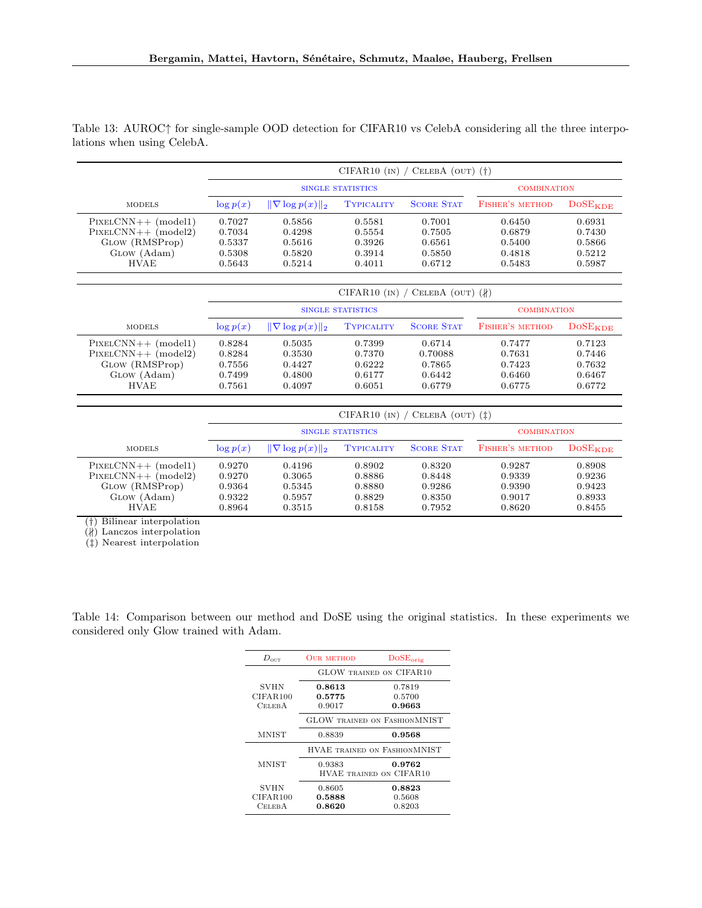|                                                                                                |                                                | CIFAR10 $\text{(IN)}$ / CELEBA $\text{(OUT)}$ (†) |                                                |                                                |                                                |                                                |  |
|------------------------------------------------------------------------------------------------|------------------------------------------------|---------------------------------------------------|------------------------------------------------|------------------------------------------------|------------------------------------------------|------------------------------------------------|--|
|                                                                                                |                                                | SINGLE STATISTICS                                 | <b>COMBINATION</b>                             |                                                |                                                |                                                |  |
| <b>MODELS</b>                                                                                  | $\log p(x)$                                    | $\ \nabla \log p(x)\ _2$                          | <b>TYPICALITY</b>                              | <b>SCORE STAT</b>                              | <b>FISHER'S METHOD</b>                         | $DoSE_{KDE}$                                   |  |
| $PIXELCNN++ (model1)$<br>$PIXELCNN++ (model2)$<br>GLOW (RMSProp)<br>GLOW (Adam)<br><b>HVAE</b> | 0.7027<br>0.7034<br>0.5337<br>0.5308<br>0.5643 | 0.5856<br>0.4298<br>0.5616<br>0.5820<br>0.5214    | 0.5581<br>0.5554<br>0.3926<br>0.3914<br>0.4011 | 0.7001<br>0.7505<br>0.6561<br>0.5850<br>0.6712 | 0.6450<br>0.6879<br>0.5400<br>0.4818<br>0.5483 | 0.6931<br>0.7430<br>0.5866<br>0.5212<br>0.5987 |  |

<span id="page-22-0"></span>Table 13: AUROC↑ for single-sample OOD detection for CIFAR10 vs CelebA considering all the three interpolations when using CelebA.

|                                                                                                |                                                | CIFAR10 (IN) / CELEBA (OUT) $(k)$              |                                                |                                                 |                                                |                                                |  |  |
|------------------------------------------------------------------------------------------------|------------------------------------------------|------------------------------------------------|------------------------------------------------|-------------------------------------------------|------------------------------------------------|------------------------------------------------|--|--|
|                                                                                                |                                                | SINGLE STATISTICS                              | <b>COMBINATION</b>                             |                                                 |                                                |                                                |  |  |
| <b>MODELS</b>                                                                                  | $\log p(x)$                                    | $\ \nabla \log p(x)\ _{2}$                     | <b>TYPICALITY</b>                              | <b>SCORE STAT</b>                               | <b>FISHER'S METHOD</b>                         | $\textrm{DoSE}_{\mathbf{KDE}}$                 |  |  |
| $PIXELCNN++ (model1)$<br>$PIXELCNN++ (model2)$<br>GLOW (RMSProp)<br>GLOW (Adam)<br><b>HVAE</b> | 0.8284<br>0.8284<br>0.7556<br>0.7499<br>0.7561 | 0.5035<br>0.3530<br>0.4427<br>0.4800<br>0.4097 | 0.7399<br>0.7370<br>0.6222<br>0.6177<br>0.6051 | 0.6714<br>0.70088<br>0.7865<br>0.6442<br>0.6779 | 0.7477<br>0.7631<br>0.7423<br>0.6460<br>0.6775 | 0.7123<br>0.7446<br>0.7632<br>0.6467<br>0.6772 |  |  |

|                                                                                                | CIFAR10 $\text{(IN)}$ / CELEBA $\text{(OUT)}$ $\text{(1)}$ |                                                |                                                |                                                |                                                |                                                |  |
|------------------------------------------------------------------------------------------------|------------------------------------------------------------|------------------------------------------------|------------------------------------------------|------------------------------------------------|------------------------------------------------|------------------------------------------------|--|
|                                                                                                |                                                            | SINGLE STATISTICS                              | <b>COMBINATION</b>                             |                                                |                                                |                                                |  |
| <b>MODELS</b>                                                                                  | $\log p(x)$                                                | $\ \nabla \log p(x)\ _2$                       | <b>TYPICALITY</b>                              | <b>SCORE STAT</b>                              | FISHER'S METHOD                                | $DoSE$ <sub>KDE</sub>                          |  |
| $PIXELCNN++ (model1)$<br>$PIXELCNN++ (model2)$<br>GLOW (RMSProp)<br>GLOW (Adam)<br><b>HVAE</b> | 0.9270<br>0.9270<br>0.9364<br>0.9322<br>0.8964             | 0.4196<br>0.3065<br>0.5345<br>0.5957<br>0.3515 | 0.8902<br>0.8886<br>0.8880<br>0.8829<br>0.8158 | 0.8320<br>0.8448<br>0.9286<br>0.8350<br>0.7952 | 0.9287<br>0.9339<br>0.9390<br>0.9017<br>0.8620 | 0.8908<br>0.9236<br>0.9423<br>0.8933<br>0.8455 |  |

(†) Bilinear interpolation

 $(H)$  Lanczos interpolation

(‡) Nearest interpolation

Table 14: Comparison between our method and DoSE using the original statistics. In these experiments we considered only Glow trained with Adam.

| $D_{\text{out}}$ | <b>OUR METHOD</b> | DoSE <sub>orig</sub>                |
|------------------|-------------------|-------------------------------------|
|                  |                   | <b>GLOW TRAINED ON CIFAR10</b>      |
| <b>SVHN</b>      | 0.8613            | 0.7819                              |
| CIFAR100         | 0.5775            | 0.5700                              |
| <b>CELEBA</b>    | 0.9017            | 0.9663                              |
|                  |                   | <b>GLOW TRAINED ON FASHIONMNIST</b> |
| MNIST            | 0.8839            | 0.9568                              |
|                  |                   | HVAE TRAINED ON FASHIONMNIST        |
| MNIST            | 0.9383            | 0.9762                              |
|                  |                   | <b>HVAE TRAINED ON CIFAR10</b>      |
| <b>SVHN</b>      | 0.8605            | 0.8823                              |
| CIFAR100         | 0.5888            | 0.5608                              |
| Celeb A          | 0.8620            | 0.8203                              |